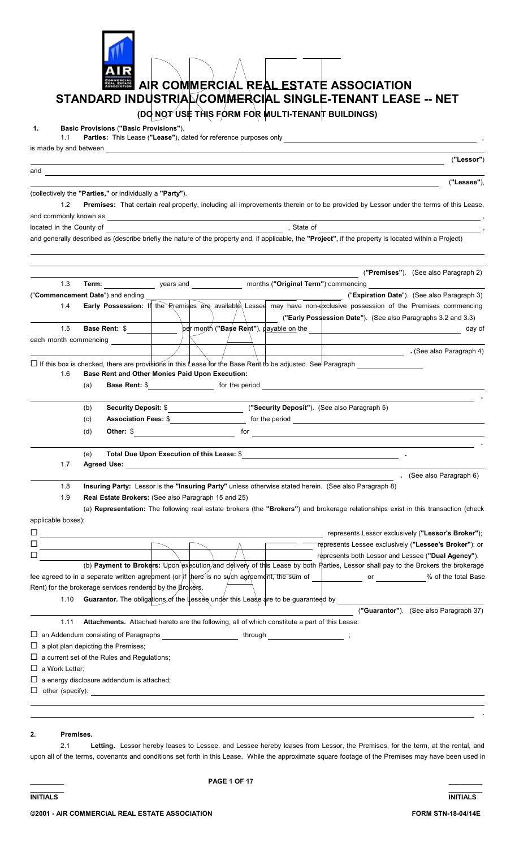

#### **2. Premises.**

 2.1 **Letting.** Lessor hereby leases to Lessee, and Lessee hereby leases from Lessor, the Premises, for the term, at the rental, and upon all of the terms, covenants and conditions set forth in this Lease. While the approximate square footage of the Premises may have been used in

**\_\_\_\_\_\_\_\_\_ \_\_\_\_\_\_\_\_\_**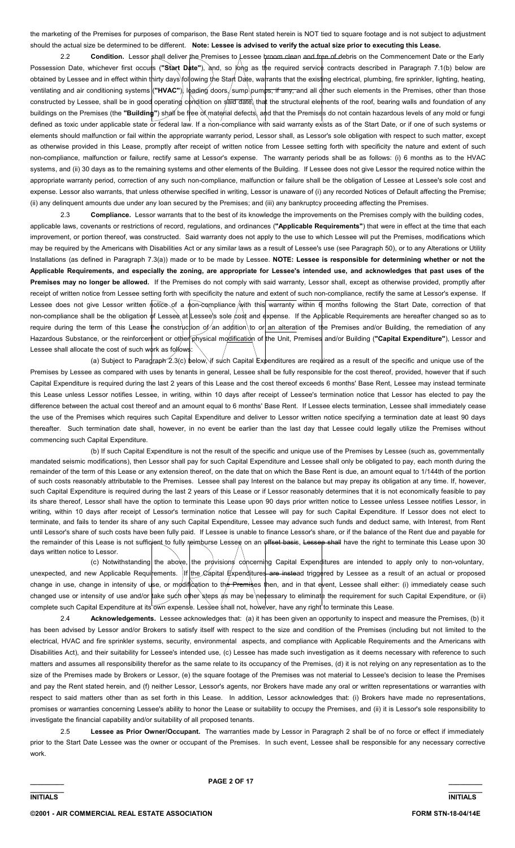the marketing of the Premises for purposes of comparison, the Base Rent stated herein is NOT tied to square footage and is not subject to adjustment should the actual size be determined to be different. **Note: Lessee is advised to verify the actual size prior to executing this Lease.**

 2.2 **Condition.** Lessor shall deliver the Premises to Lessee broom clean and free of debris on the Commencement Date or the Early Possession Date, whichever first occurs ("Start Date"), and, so jong as the required service contracts described in Paragraph 7.1(b) below are obtained by Lessee and in effect within thirty days following the Start Date, warrants that the existing electrical, plumbing, fire sprinkler, lighting, heating, ventilating and air conditioning systems ("HVAC"), Ibading doors /sump pumps, if any, and all other such elements in the Premises, other than those constructed by Lessee, shall be in good operating condition on said date, that the structural elements of the roof, bearing walls and foundation of any buildings on the Premises (the **"Building"**) shall be free ot material defects\ and that the Premises do not contain hazardous levels of any mold or fungi defined as toxic under applicable state or federal law. If a non-compliance with said warranty exists as of the Start Date, or if one of such systems or elements should malfunction or fail within the appropriate warranty period, Lessor shall, as Lessor's sole obligation with respect to such matter, except as otherwise provided in this Lease, promptly after receipt of written notice from Lessee setting forth with specificity the nature and extent of such non-compliance, malfunction or failure, rectify same at Lessor's expense. The warranty periods shall be as follows: (i) 6 months as to the HVAC systems, and (ii) 30 days as to the remaining systems and other elements of the Building. If Lessee does not give Lessor the required notice within the appropriate warranty period, correction of any such non-compliance, malfunction or failure shall be the obligation of Lessee at Lessee's sole cost and expense. Lessor also warrants, that unless otherwise specified in writing, Lessor is unaware of (i) any recorded Notices of Default affecting the Premise; (ii) any delinquent amounts due under any loan secured by the Premises; and (iii) any bankruptcy proceeding affecting the Premises.

 2.3 **Compliance.** Lessor warrants that to the best of its knowledge the improvements on the Premises comply with the building codes, applicable laws, covenants or restrictions of record, regulations, and ordinances (**"Applicable Requirements"**) that were in effect at the time that each improvement, or portion thereof, was constructed. Said warranty does not apply to the use to which Lessee will put the Premises, modifications which may be required by the Americans with Disabilities Act or any similar laws as a result of Lessee's use (see Paragraph 50), or to any Alterations or Utility Installations (as defined in Paragraph 7.3(a)) made or to be made by Lessee. **NOTE: Lessee is responsible for determining whether or not the Applicable Requirements, and especially the zoning, are appropriate for Lessee's intended use, and acknowledges that past uses of the Premises may no longer be allowed.** If the Premises do not comply with said warranty, Lessor shall, except as otherwise provided, promptly after receipt of written notice from Lessee setting forth with specificity the nature and extent of such non-compliance, rectify the same at Lessor's expense. If Lessee does not give Lessor written notice of a non-compliance  $\hat{\phi}$  ith this warranty within 6 months following the Start Date, correction of that non-compliance shall be the obligation of Lessee at Lessee's sole cost and expense. If the Applicable Requirements are hereafter changed so as to require during the term of this Lease the construction of an addition to or an alteration of the Premises and/or Building, the remediation of any Hazardous Substance, or the reinforcement or other physical modification of the Unit, Premises and/or Building ("Capital Expenditure"), Lessor and Lessee shall allocate the cost of such work as follows:

 (a) Subject to Paragraph 2.3(c) below, if such Capital Expenditures are required as a result of the specific and unique use of the Premises by Lessee as compared with uses by tenants in general, Lessee shall be fully responsible for the cost thereof, provided, however that if such Capital Expenditure is required during the last 2 years of this Lease and the cost thereof exceeds 6 months' Base Rent, Lessee may instead terminate this Lease unless Lessor notifies Lessee, in writing, within 10 days after receipt of Lessee's termination notice that Lessor has elected to pay the difference between the actual cost thereof and an amount equal to 6 months' Base Rent. If Lessee elects termination, Lessee shall immediately cease the use of the Premises which requires such Capital Expenditure and deliver to Lessor written notice specifying a termination date at least 90 days thereafter. Such termination date shall, however, in no event be earlier than the last day that Lessee could legally utilize the Premises without commencing such Capital Expenditure.

 (b) If such Capital Expenditure is not the result of the specific and unique use of the Premises by Lessee (such as, governmentally mandated seismic modifications), then Lessor shall pay for such Capital Expenditure and Lessee shall only be obligated to pay, each month during the remainder of the term of this Lease or any extension thereof, on the date that on which the Base Rent is due, an amount equal to 1/144th of the portion of such costs reasonably attributable to the Premises. Lessee shall pay Interest on the balance but may prepay its obligation at any time. If, however, such Capital Expenditure is required during the last 2 years of this Lease or if Lessor reasonably determines that it is not economically feasible to pay its share thereof, Lessor shall have the option to terminate this Lease upon 90 days prior written notice to Lessee unless Lessee notifies Lessor, in writing, within 10 days after receipt of Lessor's termination notice that Lessee will pay for such Capital Expenditure. If Lessor does not elect to terminate, and fails to tender its share of any such Capital Expenditure, Lessee may advance such funds and deduct same, with Interest, from Rent until Lessor's share of such costs have been fully paid. If Lessee is unable to finance Lessor's share, or if the balance of the Rent due and payable for the remainder of this Lease is not sufficient to fully reimburse Lessee on an offset basis, Lessee shall have the right to terminate this Lease upon 30 days written notice to Lessor.

(c) Notwithstanding the above, the provisions concerning Capital Expenditures are intended to apply only to non-voluntary, unexpected, and new Applicable Requirements. If the Capital Expenditures are instead triggered by Lessee as a result of an actual or proposed change in use, change in intensity of use, or modification to the Premises then, and in that event, Lessee shall either: (i) immediately cease such changed use or intensity of use and/or take such other steps as may be necessary to eliminate the requirement for such Capital Expenditure, or (ii) complete such Capital Expenditure at its own expense. Lessee shall not, however, have any right to terminate this Lease.

 2.4 **Acknowledgements.** Lessee acknowledges that: (a) it has been given an opportunity to inspect and measure the Premises, (b) it has been advised by Lessor and/or Brokers to satisfy itself with respect to the size and condition of the Premises (including but not limited to the electrical, HVAC and fire sprinkler systems, security, environmental aspects, and compliance with Applicable Requirements and the Americans with Disabilities Act), and their suitability for Lessee's intended use, (c) Lessee has made such investigation as it deems necessary with reference to such matters and assumes all responsibility therefor as the same relate to its occupancy of the Premises, (d) it is not relying on any representation as to the size of the Premises made by Brokers or Lessor, (e) the square footage of the Premises was not material to Lessee's decision to lease the Premises and pay the Rent stated herein, and (f) neither Lessor, Lessor's agents, nor Brokers have made any oral or written representations or warranties with respect to said matters other than as set forth in this Lease. In addition, Lessor acknowledges that: (i) Brokers have made no representations, promises or warranties concerning Lessee's ability to honor the Lease or suitability to occupy the Premises, and (ii) it is Lessor's sole responsibility to investigate the financial capability and/or suitability of all proposed tenants.

 2.5 **Lessee as Prior Owner/Occupant.** The warranties made by Lessor in Paragraph 2 shall be of no force or effect if immediately prior to the Start Date Lessee was the owner or occupant of the Premises. In such event, Lessee shall be responsible for any necessary corrective work.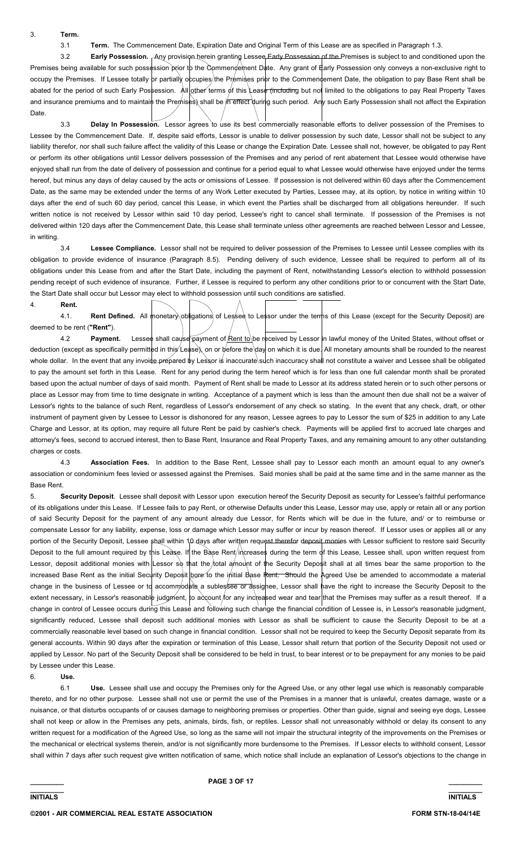3. **Term.**

3.1 **Term.** The Commencement Date, Expiration Date and Original Term of this Lease are as specified in Paragraph 1.3.

3.2 **Early Possession.** Any provision herein granting Lessee Early Possession of the Premises is subject to and conditioned upon the Premises being available for such possession prior to the Commencement Date. Any grant of  $\#$ arly Possession only conveys a non-exclusive right to occupy the Premises. If Lessee totally or partially occupies/the Premises prior to the Commencement Date, the obligation to pay Base Rent shall be abated for the period of such Early Possession. All other terms of this Lease (including but not limited to the obligations to pay Real Property Taxes and insurance premiums and to maintain the Premises) shall be in effect during such period. Any such Early Possession shall not affect the Expiration Date.

 3.3 **Delay In Possession.** Lessor agrees to use its best commercially reasonable efforts to deliver possession of the Premises to Lessee by the Commencement Date. If, despite said efforts, Lessor is unable to deliver possession by such date, Lessor shall not be subject to any liability therefor, nor shall such failure affect the validity of this Lease or change the Expiration Date. Lessee shall not, however, be obligated to pay Rent or perform its other obligations until Lessor delivers possession of the Premises and any period of rent abatement that Lessee would otherwise have enjoyed shall run from the date of delivery of possession and continue for a period equal to what Lessee would otherwise have enjoyed under the terms hereof, but minus any days of delay caused by the acts or omissions of Lessee. If possession is not delivered within 60 days after the Commencement Date, as the same may be extended under the terms of any Work Letter executed by Parties, Lessee may, at its option, by notice in writing within 10 days after the end of such 60 day period, cancel this Lease, in which event the Parties shall be discharged from all obligations hereunder. If such written notice is not received by Lessor within said 10 day period, Lessee's right to cancel shall terminate. If possession of the Premises is not delivered within 120 days after the Commencement Date, this Lease shall terminate unless other agreements are reached between Lessor and Lessee, in writing.

 3.4 **Lessee Compliance.** Lessor shall not be required to deliver possession of the Premises to Lessee until Lessee complies with its obligation to provide evidence of insurance (Paragraph 8.5). Pending delivery of such evidence, Lessee shall be required to perform all of its obligations under this Lease from and after the Start Date, including the payment of Rent, notwithstanding Lessor's election to withhold possession pending receipt of such evidence of insurance. Further, if Lessee is required to perform any other conditions prior to or concurrent with the Start Date, the Start Date shall occur but Lessor may elect to withhold possession until such conditions are satisfied.

4. **Rent.** 4.1. **Rent Defined.** All monetary obligations of Lessee to Lessor under the terms of this Lease (except for the Security Deposit) are deemed to be rent (**"Rent"**).

4.2 **Payment.** Lessee shall cause payment of **Rent to** be received by Lessor in lawful money of the United States, without offset or deduction (except as specifically permitted in this Lease), on or before the day on which it is due. All monetary amounts shall be rounded to the nearest whole dollar. In the event that any invoide prepared by Lessor is inaccurate such inaccuracy shall not constitute a waiver and Lessee shall be obligated to pay the amount set forth in this Lease. Rent for any period during the term hereof which is for less than one full calendar month shall be prorated based upon the actual number of days of said month. Payment of Rent shall be made to Lessor at its address stated herein or to such other persons or place as Lessor may from time to time designate in writing. Acceptance of a payment which is less than the amount then due shall not be a waiver of Lessor's rights to the balance of such Rent, regardless of Lessor's endorsement of any check so stating. In the event that any check, draft, or other instrument of payment given by Lessee to Lessor is dishonored for any reason, Lessee agrees to pay to Lessor the sum of \$25 in addition to any Late Charge and Lessor, at its option, may require all future Rent be paid by cashier's check. Payments will be applied first to accrued late charges and attorney's fees, second to accrued interest, then to Base Rent, Insurance and Real Property Taxes, and any remaining amount to any other outstanding charges or costs.

 4.3 **Association Fees.** In addition to the Base Rent, Lessee shall pay to Lessor each month an amount equal to any owner's association or condominium fees levied or assessed against the Premises. Said monies shall be paid at the same time and in the same manner as the Base Rent.

5. **Security Deposit**. Lessee shall deposit with Lessor upon execution hereof the Security Deposit as security for Lessee's faithful performance of its obligations under this Lease. If Lessee fails to pay Rent, or otherwise Defaults under this Lease, Lessor may use, apply or retain all or any portion of said Security Deposit for the payment of any amount already due Lessor, for Rents which will be due in the future, and/ or to reimburse or compensate Lessor for any liability, expense, loss or damage which Lessor may suffer or incur by reason thereof. If Lessor uses or applies all or any portion of the Security Deposit, Lessee shall within 10 days after written request therefor deposit monies with Lessor sufficient to restore said Security Deposit to the full amount required by this Lease. If the Base Rent/increases during the term of this Lease, Lessee shall, upon written request from Lessor, deposit additional monies with Lessor so that the total amount of the Security Deposit shall at all times bear the same proportion to the increased Base Rent as the initial Security Deposit bore to the initial Base Rent. Should the Agreed Use be amended to accommodate a material change in the business of Lessee or to accommodate a sublessee or assignee, Lessor shall have the right to increase the Security Deposit to the extent necessary, in Lessor's reasonable judgment, to account for any increased wear and tear that the Premises may suffer as a result thereof. If a change in control of Lessee occurs during this Lease and following such change the financial condition of Lessee is, in Lessor's reasonable judgment, significantly reduced. Lessee shall deposit such additional monies with Lessor as shall be sufficient to cause the Security Deposit to be at a commercially reasonable level based on such change in financial condition. Lessor shall not be required to keep the Security Deposit separate from its general accounts. Within 90 days after the expiration or termination of this Lease, Lessor shall return that portion of the Security Deposit not used or applied by Lessor. No part of the Security Deposit shall be considered to be held in trust, to bear interest or to be prepayment for any monies to be paid by Lessee under this Lease.

6. **Use.**

 6.1 **Use.** Lessee shall use and occupy the Premises only for the Agreed Use, or any other legal use which is reasonably comparable thereto, and for no other purpose. Lessee shall not use or permit the use of the Premises in a manner that is unlawful, creates damage, waste or a nuisance, or that disturbs occupants of or causes damage to neighboring premises or properties. Other than guide, signal and seeing eye dogs, Lessee shall not keep or allow in the Premises any pets, animals, birds, fish, or reptiles. Lessor shall not unreasonably withhold or delay its consent to any written request for a modification of the Agreed Use, so long as the same will not impair the structural integrity of the improvements on the Premises or the mechanical or electrical systems therein, and/or is not significantly more burdensome to the Premises. If Lessor elects to withhold consent, Lessor shall within 7 days after such request give written notification of same, which notice shall include an explanation of Lessor's objections to the change in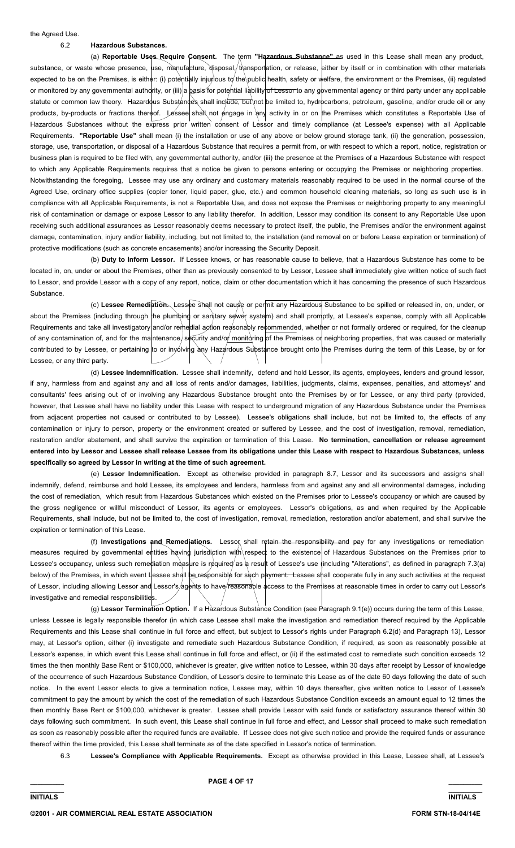## 6.2 **Hazardous Substances.**

 (a) **Reportable Uses Require Consent.** The term **"Hazardous Substance"** as used in this Lease shall mean any product, substance, or waste whose presence, use, manufacture, disposal, transportation, or release, either by itself or in combination with other materials expected to be on the Premises, is either: (i) potentially injurious to the public health, safety or welfare, the environment or the Premises, (ii) regulated or monitored by any governmental authority, or (iii) a basis for potential liability of Lessor to any governmental agency or third party under any applicable statute or common law theory. Hazardous Substances shall include, but not be limited to, hydrocarbons, petroleum, gasoline, and/or crude oil or any products, by-products or fractions thereof. Lessee shall not engage in any activity in or on the Premises which constitutes a Reportable Use of Hazardous Substances without the express prior written consent of Lessor and timely compliance (at Lessee's expense) with all Applicable Requirements. **"Reportable Use"** shall mean (i) the installation or use of any above or below ground storage tank, (ii) the generation, possession, storage, use, transportation, or disposal of a Hazardous Substance that requires a permit from, or with respect to which a report, notice, registration or business plan is required to be filed with, any governmental authority, and/or (iii) the presence at the Premises of a Hazardous Substance with respect to which any Applicable Requirements requires that a notice be given to persons entering or occupying the Premises or neighboring properties. Notwithstanding the foregoing, Lessee may use any ordinary and customary materials reasonably required to be used in the normal course of the Agreed Use, ordinary office supplies (copier toner, liquid paper, glue, etc.) and common household cleaning materials, so long as such use is in compliance with all Applicable Requirements, is not a Reportable Use, and does not expose the Premises or neighboring property to any meaningful risk of contamination or damage or expose Lessor to any liability therefor. In addition, Lessor may condition its consent to any Reportable Use upon receiving such additional assurances as Lessor reasonably deems necessary to protect itself, the public, the Premises and/or the environment against damage, contamination, injury and/or liability, including, but not limited to, the installation (and removal on or before Lease expiration or termination) of protective modifications (such as concrete encasements) and/or increasing the Security Deposit.

 (b) **Duty to Inform Lessor.** If Lessee knows, or has reasonable cause to believe, that a Hazardous Substance has come to be located in, on, under or about the Premises, other than as previously consented to by Lessor, Lessee shall immediately give written notice of such fact to Lessor, and provide Lessor with a copy of any report, notice, claim or other documentation which it has concerning the presence of such Hazardous Substance.

 (c) **Lessee Remediation.** Lessee shall not cause or permit any Hazardous Substance to be spilled or released in, on, under, or about the Premises (including through the plumbing or sanitary sewer system) and shall promptly, at Lessee's expense, comply with all Applicable Requirements and take all investigatory and/or remedial action reasonably recommended, whether or not formally ordered or required, for the cleanup of any contamination of, and for the maintenance, security and/of monitoring of the Premises or neighboring properties, that was caused or materially contributed to by Lessee, or pertaining to or inyólving any Hazardous Substance brought onto the Premises during the term of this Lease, by or for Lessee, or any third party.

 (d) **Lessee Indemnification.** Lessee shall indemnify, defend and hold Lessor, its agents, employees, lenders and ground lessor, if any, harmless from and against any and all loss of rents and/or damages, liabilities, judgments, claims, expenses, penalties, and attorneys' and consultants' fees arising out of or involving any Hazardous Substance brought onto the Premises by or for Lessee, or any third party (provided, however, that Lessee shall have no liability under this Lease with respect to underground migration of any Hazardous Substance under the Premises from adjacent properties not caused or contributed to by Lessee). Lessee's obligations shall include, but not be limited to, the effects of any contamination or injury to person, property or the environment created or suffered by Lessee, and the cost of investigation, removal, remediation, restoration and/or abatement, and shall survive the expiration or termination of this Lease. **No termination, cancellation or release agreement entered into by Lessor and Lessee shall release Lessee from its obligations under this Lease with respect to Hazardous Substances, unless specifically so agreed by Lessor in writing at the time of such agreement.**

 (e) **Lessor Indemnification.** Except as otherwise provided in paragraph 8.7, Lessor and its successors and assigns shall indemnify, defend, reimburse and hold Lessee, its employees and lenders, harmless from and against any and all environmental damages, including the cost of remediation, which result from Hazardous Substances which existed on the Premises prior to Lessee's occupancy or which are caused by the gross negligence or willful misconduct of Lessor, its agents or employees. Lessor's obligations, as and when required by the Applicable Requirements, shall include, but not be limited to, the cost of investigation, removal, remediation, restoration and/or abatement, and shall survive the expiration or termination of this Lease.

(f) Investigations and Remediations. Lessor shall retain the responsibility and pay for any investigations or remediation measures required by governmental entities having jurisdiction with respect to the existence of Hazardous Substances on the Premises prior to Lessee's occupancy, unless such remediation measure is required as a result of Lessee's use (including "Alterations", as defined in paragraph 7.3(a) below) of the Premises, in which event Lessee shall be responsible for such payment. Lessee shall cooperate fully in any such activities at the request of Lessor, including allowing Lessor and Lessor's agents to have reasonable access to the Premises at reasonable times in order to carry out Lessor's investigative and remedial responsibilities.

 (g) **Lessor Termination Option.** If a Hazardous Substance Condition (see Paragraph 9.1(e)) occurs during the term of this Lease, unless Lessee is legally responsible therefor (in which case Lessee shall make the investigation and remediation thereof required by the Applicable Requirements and this Lease shall continue in full force and effect, but subject to Lessor's rights under Paragraph 6.2(d) and Paragraph 13), Lessor may, at Lessor's option, either (i) investigate and remediate such Hazardous Substance Condition, if required, as soon as reasonably possible at Lessor's expense, in which event this Lease shall continue in full force and effect, or (ii) if the estimated cost to remediate such condition exceeds 12 times the then monthly Base Rent or \$100,000, whichever is greater, give written notice to Lessee, within 30 days after receipt by Lessor of knowledge of the occurrence of such Hazardous Substance Condition, of Lessor's desire to terminate this Lease as of the date 60 days following the date of such notice. In the event Lessor elects to give a termination notice, Lessee may, within 10 days thereafter, give written notice to Lessor of Lessee's commitment to pay the amount by which the cost of the remediation of such Hazardous Substance Condition exceeds an amount equal to 12 times the then monthly Base Rent or \$100,000, whichever is greater. Lessee shall provide Lessor with said funds or satisfactory assurance thereof within 30 days following such commitment. In such event, this Lease shall continue in full force and effect, and Lessor shall proceed to make such remediation as soon as reasonably possible after the required funds are available. If Lessee does not give such notice and provide the required funds or assurance thereof within the time provided, this Lease shall terminate as of the date specified in Lessor's notice of termination.

6.3 **Lessee's Compliance with Applicable Requirements.** Except as otherwise provided in this Lease, Lessee shall, at Lessee's

**\_\_\_\_\_\_\_\_\_ \_\_\_\_\_\_\_\_\_ INITIALS INITIALS**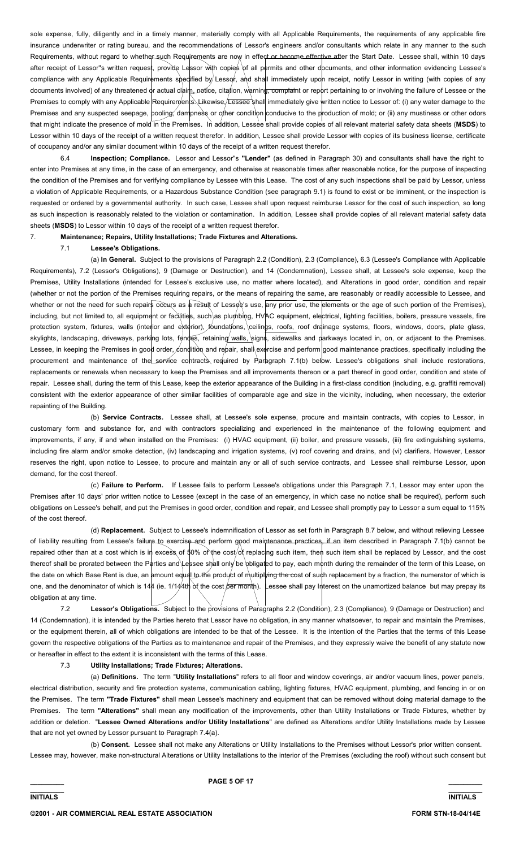sole expense, fully, diligently and in a timely manner, materially comply with all Applicable Requirements, the requirements of any applicable fire insurance underwriter or rating bureau, and the recommendations of Lessor's engineers and/or consultants which relate in any manner to the such Requirements, without regard to whether such Requirements are now in effect or become effective after the Start Date. Lessee shall, within 10 days after receipt of Lessor"s written request, provide Lessor with copies of all permits and other documents, and other information evidencing Lessee's compliance with any Applicable Requirements specified by Lessor, and shall immediately upon receipt, notify Lessor in writing (with copies of any documents involved) of any threatened or actual claim, notice, citation, warning, complaint or report pertaining to or involving the failure of Lessee or the Premises to comply with any Applicable Requirements. Likewise Lessee shall immediately give written notice to Lessor of: (i) any water damage to the Premises and any suspected seepage, pooling, dampness or other condition conducive to the production of mold; or (ii) any mustiness or other odors that might indicate the presence of mold in the Premises. In addition, Lessee shall provide copies of all relevant material safety data sheets (**MSDS**) to Lessor within 10 days of the receipt of a written request therefor. In addition, Lessee shall provide Lessor with copies of its business license, certificate of occupancy and/or any similar document within 10 days of the receipt of a written request therefor.

 6.4 **Inspection; Compliance.** Lessor and Lessor''s **"Lender"** (as defined in Paragraph 30) and consultants shall have the right to enter into Premises at any time, in the case of an emergency, and otherwise at reasonable times after reasonable notice, for the purpose of inspecting the condition of the Premises and for verifying compliance by Lessee with this Lease. The cost of any such inspections shall be paid by Lessor, unless a violation of Applicable Requirements, or a Hazardous Substance Condition (see paragraph 9.1) is found to exist or be imminent, or the inspection is requested or ordered by a governmental authority. In such case, Lessee shall upon request reimburse Lessor for the cost of such inspection, so long as such inspection is reasonably related to the violation or contamination. In addition, Lessee shall provide copies of all relevant material safety data sheets (**MSDS**) to Lessor within 10 days of the receipt of a written request therefor.

#### 7. **Maintenance; Repairs, Utility Installations; Trade Fixtures and Alterations.**

## 7.1 **Lessee's Obligations.**

 (a) **In General.** Subject to the provisions of Paragraph 2.2 (Condition), 2.3 (Compliance), 6.3 (Lessee's Compliance with Applicable Requirements), 7.2 (Lessor's Obligations), 9 (Damage or Destruction), and 14 (Condemnation), Lessee shall, at Lessee's sole expense, keep the Premises, Utility Installations (intended for Lessee's exclusive use, no matter where located), and Alterations in good order, condition and repair (whether or not the portion of the Premises requiring repairs, or the means of repairing the same, are reasonably or readily accessible to Lessee, and whether or not the need for such repairs occurs as a result of Lessee's use, any prior use, the elements or the age of such portion of the Premises), including, but not limited to, all equipment or facilities, such as plumbing, HVAC equipment, electrical, lighting facilities, boilers, pressure vessels, fire protection system, fixtures, walls (interior and exterior), foundations, ceilings, roofs, roof drainage systems, floors, windows, doors, plate glass, skylights, landscaping, driveways, parking lots, fences, retaining walls, signs, sidewalks and parkways located in, on, or adjacent to the Premises. Lessee, in keeping the Premises in good order, condition and repair, shall exercise and perform good maintenance practices, specifically including the procurement and maintenance of the service contracts required by Paragraph 7.1(b) below. Lessee's obligations shall include restorations, replacements or renewals when necessary to keep the Premises and all improvements thereon or a part thereof in good order, condition and state of repair. Lessee shall, during the term of this Lease, keep the exterior appearance of the Building in a first-class condition (including, e.g. graffiti removal) consistent with the exterior appearance of other similar facilities of comparable age and size in the vicinity, including, when necessary, the exterior repainting of the Building.

 (b) **Service Contracts.** Lessee shall, at Lessee's sole expense, procure and maintain contracts, with copies to Lessor, in customary form and substance for, and with contractors specializing and experienced in the maintenance of the following equipment and improvements, if any, if and when installed on the Premises: (i) HVAC equipment, (ii) boiler, and pressure vessels, (iii) fire extinguishing systems, including fire alarm and/or smoke detection, (iv) landscaping and irrigation systems, (v) roof covering and drains, and (vi) clarifiers. However, Lessor reserves the right, upon notice to Lessee, to procure and maintain any or all of such service contracts, and Lessee shall reimburse Lessor, upon demand, for the cost thereof.

 (c) **Failure to Perform.** If Lessee fails to perform Lessee's obligations under this Paragraph 7.1, Lessor may enter upon the Premises after 10 days' prior written notice to Lessee (except in the case of an emergency, in which case no notice shall be required), perform such obligations on Lessee's behalf, and put the Premises in good order, condition and repair, and Lessee shall promptly pay to Lessor a sum equal to 115% of the cost thereof.

 (d) **Replacement.** Subject to Lessee's indemnification of Lessor as set forth in Paragraph 8.7 below, and without relieving Lessee of liability resulting from Lessee's failure to exercise and perform good maintenance practices, if an item described in Paragraph 7.1(b) cannot be repaired other than at a cost which is in excess of  $\frac{1}{90\%}$  of the cost/of replacing such item, then such item shall be replaced by Lessor, and the cost thereof shall be prorated between the Parties and Lessee shall only be obligated to pay, each month during the remainder of the term of this Lease, on the date on which Base Rent is due, an amount equal to the product of multiplying the cost of such replacement by a fraction, the numerator of which is one, and the denominator of which is 144 (ie. 1/144th of the cost per month). Lessee shall pay Interest on the unamortized balance but may prepay its obligation at any time.

 7.2 **Lessor's Obligations.** Subject to the provisions of Paragraphs 2.2 (Condition), 2.3 (Compliance), 9 (Damage or Destruction) and 14 (Condemnation), it is intended by the Parties hereto that Lessor have no obligation, in any manner whatsoever, to repair and maintain the Premises, or the equipment therein, all of which obligations are intended to be that of the Lessee. It is the intention of the Parties that the terms of this Lease govern the respective obligations of the Parties as to maintenance and repair of the Premises, and they expressly waive the benefit of any statute now or hereafter in effect to the extent it is inconsistent with the terms of this Lease.

#### 7.3 **Utility Installations; Trade Fixtures; Alterations.**

 (a) **Definitions.** The term "**Utility Installations**" refers to all floor and window coverings, air and/or vacuum lines, power panels, electrical distribution, security and fire protection systems, communication cabling, lighting fixtures, HVAC equipment, plumbing, and fencing in or on the Premises. The term **"Trade Fixtures"** shall mean Lessee's machinery and equipment that can be removed without doing material damage to the Premises. The term **"Alterations"** shall mean any modification of the improvements, other than Utility Installations or Trade Fixtures, whether by addition or deletion. "**Lessee Owned Alterations and/or Utility Installations**" are defined as Alterations and/or Utility Installations made by Lessee that are not yet owned by Lessor pursuant to Paragraph 7.4(a).

 (b) **Consent.** Lessee shall not make any Alterations or Utility Installations to the Premises without Lessor's prior written consent. Lessee may, however, make non-structural Alterations or Utility Installations to the interior of the Premises (excluding the roof) without such consent but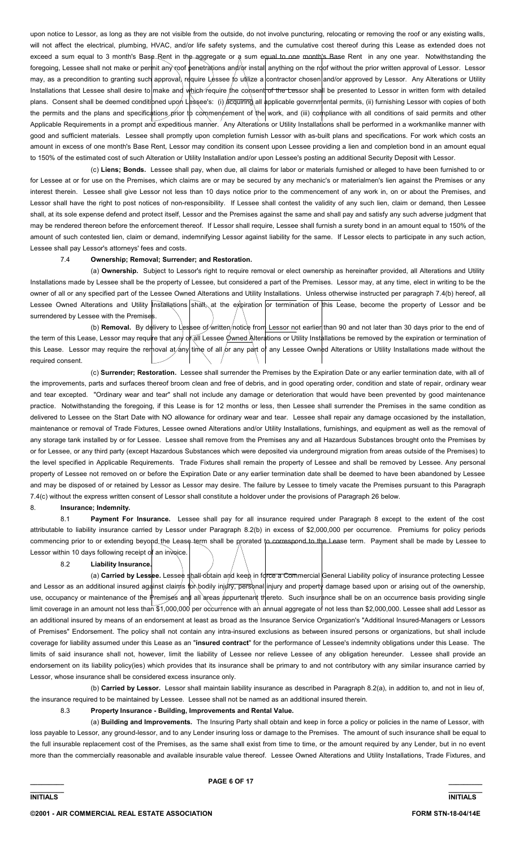upon notice to Lessor, as long as they are not visible from the outside, do not involve puncturing, relocating or removing the roof or any existing walls, will not affect the electrical, plumbing, HVAC, and/or life safety systems, and the cumulative cost thereof during this Lease as extended does not exceed a sum equal to 3 month's Base Rent in the aggregate or a sum equal to one month's Base Rent in any one year. Notwithstanding the foregoing, Lessee shall not make or permit any roof penetrations and/or install anything on the roof without the prior written approval of Lessor. Lessor may, as a precondition to granting such approval, require Lessee to utilize a contractor chosen and/or approved by Lessor. Any Alterations or Utility Installations that Lessee shall desire to make and which require the consent of the Lessor shall be presented to Lessor in written form with detailed plans. Consent shall be deemed conditioned upon Lessee's: (i) acquiring all applicable governmental permits, (ii) furnishing Lessor with copies of both the permits and the plans and specifications prior to commencement of the work, and (iii) compliance with all conditions of said permits and other Applicable Requirements in a prompt and expeditious manner. Any Alterations or Utility Installations shall be performed in a workmanlike manner with good and sufficient materials. Lessee shall promptly upon completion furnish Lessor with as-built plans and specifications. For work which costs an amount in excess of one month's Base Rent, Lessor may condition its consent upon Lessee providing a lien and completion bond in an amount equal to 150% of the estimated cost of such Alteration or Utility Installation and/or upon Lessee's posting an additional Security Deposit with Lessor.

 (c) **Liens; Bonds.** Lessee shall pay, when due, all claims for labor or materials furnished or alleged to have been furnished to or for Lessee at or for use on the Premises, which claims are or may be secured by any mechanic's or materialmen's lien against the Premises or any interest therein. Lessee shall give Lessor not less than 10 days notice prior to the commencement of any work in, on or about the Premises, and Lessor shall have the right to post notices of non-responsibility. If Lessee shall contest the validity of any such lien, claim or demand, then Lessee shall, at its sole expense defend and protect itself, Lessor and the Premises against the same and shall pay and satisfy any such adverse judgment that may be rendered thereon before the enforcement thereof. If Lessor shall require, Lessee shall furnish a surety bond in an amount equal to 150% of the amount of such contested lien, claim or demand, indemnifying Lessor against liability for the same. If Lessor elects to participate in any such action, Lessee shall pay Lessor's attorneys' fees and costs.

## 7.4 **Ownership; Removal; Surrender; and Restoration.**

 (a) **Ownership.** Subject to Lessor's right to require removal or elect ownership as hereinafter provided, all Alterations and Utility Installations made by Lessee shall be the property of Lessee, but considered a part of the Premises. Lessor may, at any time, elect in writing to be the owner of all or any specified part of the Lessee Owned Alterations and Utility Installations. Unless otherwise instructed per paragraph 7.4(b) hereof, all Lessee Owned Alterations and Utility Installations shall, at the expiration or termination of this Lease, become the property of Lessor and be surrendered by Lessee with the Premises

(b) Removal. By delivery to Lessee of written/notice from Lessor not earlier than 90 and not later than 30 days prior to the end of the term of this Lease, Lessor may require that any or all Lessee Owned Alterations or Utility Installations be removed by the expiration or termination of this Lease. Lessor may require the removal at any time of all or any part of any Lessee Owned Alterations or Utility Installations made without the required consent.

 (c) **Surrender; Restoration.** Lessee shall surrender the Premises by the Expiration Date or any earlier termination date, with all of the improvements, parts and surfaces thereof broom clean and free of debris, and in good operating order, condition and state of repair, ordinary wear and tear excepted. "Ordinary wear and tear" shall not include any damage or deterioration that would have been prevented by good maintenance practice. Notwithstanding the foregoing, if this Lease is for 12 months or less, then Lessee shall surrender the Premises in the same condition as delivered to Lessee on the Start Date with NO allowance for ordinary wear and tear. Lessee shall repair any damage occasioned by the installation, maintenance or removal of Trade Fixtures, Lessee owned Alterations and/or Utility Installations, furnishings, and equipment as well as the removal of any storage tank installed by or for Lessee. Lessee shall remove from the Premises any and all Hazardous Substances brought onto the Premises by or for Lessee, or any third party (except Hazardous Substances which were deposited via underground migration from areas outside of the Premises) to the level specified in Applicable Requirements. Trade Fixtures shall remain the property of Lessee and shall be removed by Lessee. Any personal property of Lessee not removed on or before the Expiration Date or any earlier termination date shall be deemed to have been abandoned by Lessee and may be disposed of or retained by Lessor as Lessor may desire. The failure by Lessee to timely vacate the Premises pursuant to this Paragraph 7.4(c) without the express written consent of Lessor shall constitute a holdover under the provisions of Paragraph 26 below.

#### 8. **Insurance; Indemnity.**

 8.1 **Payment For Insurance.** Lessee shall pay for all insurance required under Paragraph 8 except to the extent of the cost attributable to liability insurance carried by Lessor under Paragraph 8.2(b) in excess of \$2,000,000 per occurrence. Premiums for policy periods commencing prior to or extending beyond the Lease-term shall be prorated to correspond to the Lease term. Payment shall be made by Lessee to Lessor within 10 days following receipt of an invoice.

8.2 **Liability Insurance.**

(a) Carried by Lessee. Lessee shall obtain and keep in force a Commercial General Liability policy of insurance protecting Lessee and Lessor as an additional insured against claims for bodily injury, personal injury and property damage based upon or arising out of the ownership, use, occupancy or maintenance of the Premises and all areas appurtenant thereto. Such insurance shall be on an occurrence basis providing single limit coverage in an amount not less than \$1,000,000 per occurrence with an annual aggregate of not less than \$2,000,000. Lessee shall add Lessor as an additional insured by means of an endorsement at least as broad as the Insurance Service Organization's "Additional Insured-Managers or Lessors of Premises" Endorsement. The policy shall not contain any intra-insured exclusions as between insured persons or organizations, but shall include coverage for liability assumed under this Lease as an "**insured contract**" for the performance of Lessee's indemnity obligations under this Lease. The limits of said insurance shall not, however, limit the liability of Lessee nor relieve Lessee of any obligation hereunder. Lessee shall provide an endorsement on its liability policy(ies) which provides that its insurance shall be primary to and not contributory with any similar insurance carried by Lessor, whose insurance shall be considered excess insurance only.

 (b) **Carried by Lessor.** Lessor shall maintain liability insurance as described in Paragraph 8.2(a), in addition to, and not in lieu of, the insurance required to be maintained by Lessee. Lessee shall not be named as an additional insured therein.

#### 8.3 **Property Insurance - Building, Improvements and Rental Value.**

 (a) **Building and Improvements.** The Insuring Party shall obtain and keep in force a policy or policies in the name of Lessor, with loss payable to Lessor, any ground-lessor, and to any Lender insuring loss or damage to the Premises. The amount of such insurance shall be equal to the full insurable replacement cost of the Premises, as the same shall exist from time to time, or the amount required by any Lender, but in no event more than the commercially reasonable and available insurable value thereof. Lessee Owned Alterations and Utility Installations, Trade Fixtures, and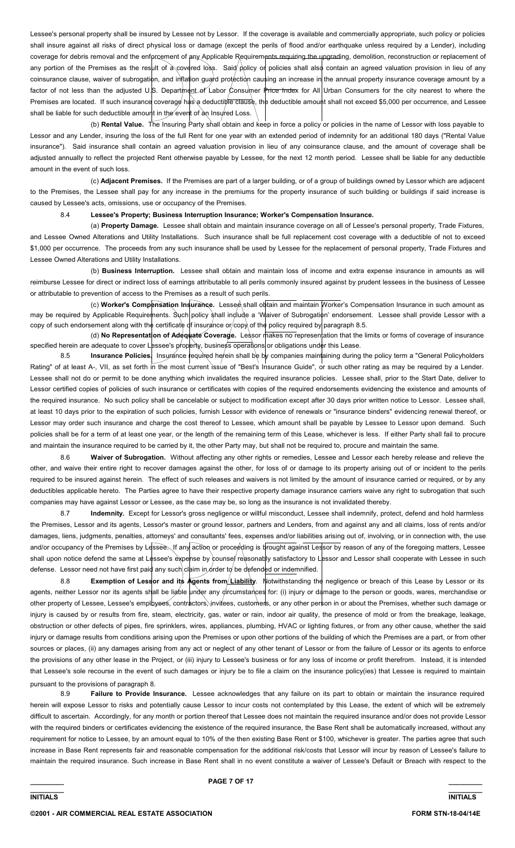Lessee's personal property shall be insured by Lessee not by Lessor. If the coverage is available and commercially appropriate, such policy or policies shall insure against all risks of direct physical loss or damage (except the perils of flood and/or earthquake unless required by a Lender), including coverage for debris removal and the enforcement of any Applicable Requirements requiring the upgrading, demolition, reconstruction or replacement of any portion of the Premises as the result of a covered loss. Said policy or policies shall also contain an agreed valuation provision in lieu of any coinsurance clause, waiver of subrogation, and inflation guard protection causing an increase in the annual property insurance coverage amount by a factor of not less than the adjusted U.S. Department of Labor Consumer Price Index for All Urban Consumers for the city nearest to where the Premises are located. If such insurance coverage has a deductible clause, the deductible amount shall not exceed \$5,000 per occurrence, and Lessee shall be liable for such deductible amount in the event of an Insured Loss.

 (b) **Rental Value.** The Insuring Party shall obtain and keep in force a policy or policies in the name of Lessor with loss payable to Lessor and any Lender, insuring the loss of the full Rent for one year with an extended period of indemnity for an additional 180 days ("Rental Value insurance"). Said insurance shall contain an agreed valuation provision in lieu of any coinsurance clause, and the amount of coverage shall be adjusted annually to reflect the projected Rent otherwise payable by Lessee, for the next 12 month period. Lessee shall be liable for any deductible amount in the event of such loss.

 (c) **Adjacent Premises.** If the Premises are part of a larger building, or of a group of buildings owned by Lessor which are adjacent to the Premises, the Lessee shall pay for any increase in the premiums for the property insurance of such building or buildings if said increase is caused by Lessee's acts, omissions, use or occupancy of the Premises.

## 8.4 **Lessee's Property; Business Interruption Insurance; Worker's Compensation Insurance.**

 (a) **Property Damage.** Lessee shall obtain and maintain insurance coverage on all of Lessee's personal property, Trade Fixtures, and Lessee Owned Alterations and Utility Installations. Such insurance shall be full replacement cost coverage with a deductible of not to exceed \$1,000 per occurrence. The proceeds from any such insurance shall be used by Lessee for the replacement of personal property, Trade Fixtures and Lessee Owned Alterations and Utility Installations.

 (b) **Business Interruption.** Lessee shall obtain and maintain loss of income and extra expense insurance in amounts as will reimburse Lessee for direct or indirect loss of earnings attributable to all perils commonly insured against by prudent lessees in the business of Lessee or attributable to prevention of access to the Premises as a result of such perils.

(c) Worker's Compensation Insurance. Lessee shall obtain and maintain Worker's Compensation Insurance in such amount as may be required by Applicable Requirements. Such policy shall include a 'Waiver of Subrogation' endorsement. Lessee shall provide Lessor with a copy of such endorsement along with the certificate of insurance or/copy of the policy required by paragraph 8.5.

(d) No Representation of Adequate Coverage. Lessor makes no representation that the limits or forms of coverage of insurance specified herein are adequate to cover Lessee's property, business operations or obligations under this Lease.

Insurance Policies. Insurance required herein shall be by companies maintaining during the policy term a "General Policyholders Rating" of at least A-, VII, as set forth in the most current issue of "Best's Insurance Guide", or such other rating as may be required by a Lender. Lessee shall not do or permit to be done anything which invalidates the required insurance policies. Lessee shall, prior to the Start Date, deliver to Lessor certified copies of policies of such insurance or certificates with copies of the required endorsements evidencing the existence and amounts of the required insurance. No such policy shall be cancelable or subject to modification except after 30 days prior written notice to Lessor. Lessee shall, at least 10 days prior to the expiration of such policies, furnish Lessor with evidence of renewals or "insurance binders" evidencing renewal thereof, or Lessor may order such insurance and charge the cost thereof to Lessee, which amount shall be payable by Lessee to Lessor upon demand. Such policies shall be for a term of at least one year, or the length of the remaining term of this Lease, whichever is less. If either Party shall fail to procure and maintain the insurance required to be carried by it, the other Party may, but shall not be required to, procure and maintain the same.

 8.6 **Waiver of Subrogation.** Without affecting any other rights or remedies, Lessee and Lessor each hereby release and relieve the other, and waive their entire right to recover damages against the other, for loss of or damage to its property arising out of or incident to the perils required to be insured against herein. The effect of such releases and waivers is not limited by the amount of insurance carried or required, or by any deductibles applicable hereto. The Parties agree to have their respective property damage insurance carriers waive any right to subrogation that such companies may have against Lessor or Lessee, as the case may be, so long as the insurance is not invalidated thereby.

 8.7 **Indemnity.** Except for Lessor's gross negligence or willful misconduct, Lessee shall indemnify, protect, defend and hold harmless the Premises, Lessor and its agents, Lessor's master or ground lessor, partners and Lenders, from and against any and all claims, loss of rents and/or damages, liens, judgments, penalties, attorneys' and consultants' fees, expenses and/or liabilities arising out of, involving, or in connection with, the use and/or occupancy of the Premises by Lessee. If any action or proceeding is brought against Lessor by reason of any of the foregoing matters, Lessee shall upon notice defend the same at Lessee's expense by counse/reasonably satisfactory to Lessor and Lessor shall cooperate with Lessee in such defense. Lessor need not have first paid any such claim in order to be defended or indemnified.

8.8 **Exemption of Lessor and its Agents from**/Liability. Notwithstanding the negligence or breach of this Lease by Lessor or its agents, neither Lessor nor its agents shall be liable under any circumstances for: (i) injury or damage to the person or goods, wares, merchandise or other property of Lessee, Lessee's emplbyees, contractors, invitees, customers, or any other person in or about the Premises, whether such damage or injury is caused by or results from fire, steam, electricity, gas, water or rain, indoor air quality, the presence of mold or from the breakage, leakage, obstruction or other defects of pipes, fire sprinklers, wires, appliances, plumbing, HVAC or lighting fixtures, or from any other cause, whether the said injury or damage results from conditions arising upon the Premises or upon other portions of the building of which the Premises are a part, or from other sources or places, (ii) any damages arising from any act or neglect of any other tenant of Lessor or from the failure of Lessor or its agents to enforce the provisions of any other lease in the Project, or (iii) injury to Lessee's business or for any loss of income or profit therefrom. Instead, it is intended that Lessee's sole recourse in the event of such damages or injury be to file a claim on the insurance policy(ies) that Lessee is required to maintain pursuant to the provisions of paragraph 8.

8.9 **Failure to Provide Insurance.** Lessee acknowledges that any failure on its part to obtain or maintain the insurance required herein will expose Lessor to risks and potentially cause Lessor to incur costs not contemplated by this Lease, the extent of which will be extremely difficult to ascertain. Accordingly, for any month or portion thereof that Lessee does not maintain the required insurance and/or does not provide Lessor with the required binders or certificates evidencing the existence of the required insurance, the Base Rent shall be automatically increased, without any requirement for notice to Lessee, by an amount equal to 10% of the then existing Base Rent or \$100, whichever is greater. The parties agree that such increase in Base Rent represents fair and reasonable compensation for the additional risk/costs that Lessor will incur by reason of Lessee's failure to maintain the required insurance. Such increase in Base Rent shall in no event constitute a waiver of Lessee's Default or Breach with respect to the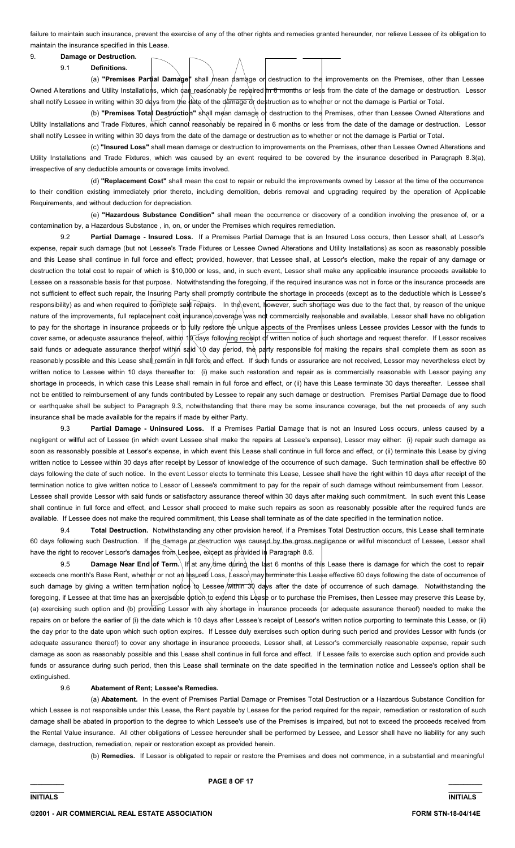failure to maintain such insurance, prevent the exercise of any of the other rights and remedies granted hereunder, nor relieve Lessee of its obligation to maintain the insurance specified in this Lease.

# 9. **Damage or Destruction.**

9.1 **Definitions.**

 (a) **"Premises Partial Damage"** shall mean damage or destruction to the improvements on the Premises, other than Lessee Owned Alterations and Utility Installations, which dan reasonably be repaired in 6 months or less from the date of the damage or destruction. Lessor shall notify Lessee in writing within 30 days from the date of the damage or destruction as to whether or not the damage is Partial or Total.

(b) **"Premises Tota** Destruction" shall mean damage or destruction to the Premises, other than Lessee Owned Alterations and Utility Installations and Trade Fixtures, which cannot reasonably be repaired in 6 months or less from the date of the damage or destruction. Lessor shall notify Lessee in writing within 30 days from the date of the damage or destruction as to whether or not the damage is Partial or Total.

 (c) **"Insured Loss"** shall mean damage or destruction to improvements on the Premises, other than Lessee Owned Alterations and Utility Installations and Trade Fixtures, which was caused by an event required to be covered by the insurance described in Paragraph 8.3(a), irrespective of any deductible amounts or coverage limits involved.

 (d) **"Replacement Cost"** shall mean the cost to repair or rebuild the improvements owned by Lessor at the time of the occurrence to their condition existing immediately prior thereto, including demolition, debris removal and upgrading required by the operation of Applicable Requirements, and without deduction for depreciation.

 (e) **"Hazardous Substance Condition"** shall mean the occurrence or discovery of a condition involving the presence of, or a contamination by, a Hazardous Substance , in, on, or under the Premises which requires remediation.

Partial Damage - Insured Loss. If a Premises Partial Damage that is an Insured Loss occurs, then Lessor shall, at Lessor's expense, repair such damage (but not Lessee's Trade Fixtures or Lessee Owned Alterations and Utility Installations) as soon as reasonably possible and this Lease shall continue in full force and effect; provided, however, that Lessee shall, at Lessor's election, make the repair of any damage or destruction the total cost to repair of which is \$10,000 or less, and, in such event, Lessor shall make any applicable insurance proceeds available to Lessee on a reasonable basis for that purpose. Notwithstanding the foregoing, if the required insurance was not in force or the insurance proceeds are not sufficient to effect such repair, the Insuring Party shall promptly contribute the shortage in proceeds (except as to the deductible which is Lessee's responsibility) as and when required to complete said repairs. In the event, however, such shortage was due to the fact that, by reason of the unique nature of the improvements, full replacement cost insurance coverage was not commercially reasonable and available, Lessor shall have no obligation to pay for the shortage in insurance proceeds or to fully restore the unique aspects of the Premises unless Lessee provides Lessor with the funds to cover same, or adequate assurance thereof, within 10 days following receipt of written notice of such shortage and request therefor. If Lessor receives said funds or adequate assurance thereof within said 10 day period, the party responsible for making the repairs shall complete them as soon as reasonably possible and this Lease shall remain in full force and effect. If sudh funds or assurance are not received, Lessor may nevertheless elect by written notice to Lessee within 10 days thereafter to: (i) make such restoration and repair as is commercially reasonable with Lessor paying any shortage in proceeds, in which case this Lease shall remain in full force and effect, or (ii) have this Lease terminate 30 days thereafter. Lessee shall not be entitled to reimbursement of any funds contributed by Lessee to repair any such damage or destruction. Premises Partial Damage due to flood or earthquake shall be subject to Paragraph 9.3, notwithstanding that there may be some insurance coverage, but the net proceeds of any such insurance shall be made available for the repairs if made by either Party.

 9.3 **Partial Damage - Uninsured Loss.** If a Premises Partial Damage that is not an Insured Loss occurs, unless caused by a negligent or willful act of Lessee (in which event Lessee shall make the repairs at Lessee's expense), Lessor may either: (i) repair such damage as soon as reasonably possible at Lessor's expense, in which event this Lease shall continue in full force and effect, or (ii) terminate this Lease by giving written notice to Lessee within 30 days after receipt by Lessor of knowledge of the occurrence of such damage. Such termination shall be effective 60 days following the date of such notice. In the event Lessor elects to terminate this Lease, Lessee shall have the right within 10 days after receipt of the termination notice to give written notice to Lessor of Lessee's commitment to pay for the repair of such damage without reimbursement from Lessor. Lessee shall provide Lessor with said funds or satisfactory assurance thereof within 30 days after making such commitment. In such event this Lease shall continue in full force and effect, and Lessor shall proceed to make such repairs as soon as reasonably possible after the required funds are available. If Lessee does not make the required commitment, this Lease shall terminate as of the date specified in the termination notice.

 9.4 **Total Destruction.** Notwithstanding any other provision hereof, if a Premises Total Destruction occurs, this Lease shall terminate 60 days following such Destruction. If the damage pr destruction was caused by the gross negligence or willful misconduct of Lessee, Lessor shall have the right to recover Lessor's damages from Lessee, except as provided in Paragraph 8.6.

9.5 **Damage Near End of Term.** If at any time during the last 6 months of this Lease there is damage for which the cost to repair exceeds one month's Base Rent, whether or not an Insured Loss, Lessor may terminate this Lease effective 60 days following the date of occurrence of such damage by giving a written termination notice to Lessee within 30 days after the date of occurrence of such damage. Notwithstanding the foregoing, if Lessee at that time has an exercisable option to extend this Lease or to purchase the Premises, then Lessee may preserve this Lease by, (a) exercising such option and (b) providing Lessor with any shortage in insurance proceeds (or adequate assurance thereof) needed to make the repairs on or before the earlier of (i) the date which is 10 days after Lessee's receipt of Lessor's written notice purporting to terminate this Lease, or (ii) the day prior to the date upon which such option expires. If Lessee duly exercises such option during such period and provides Lessor with funds (or adequate assurance thereof) to cover any shortage in insurance proceeds, Lessor shall, at Lessor's commercially reasonable expense, repair such damage as soon as reasonably possible and this Lease shall continue in full force and effect. If Lessee fails to exercise such option and provide such funds or assurance during such period, then this Lease shall terminate on the date specified in the termination notice and Lessee's option shall be extinguished.

#### 9.6 **Abatement of Rent; Lessee's Remedies.**

 (a) **Abatement.** In the event of Premises Partial Damage or Premises Total Destruction or a Hazardous Substance Condition for which Lessee is not responsible under this Lease, the Rent payable by Lessee for the period required for the repair, remediation or restoration of such damage shall be abated in proportion to the degree to which Lessee's use of the Premises is impaired, but not to exceed the proceeds received from the Rental Value insurance. All other obligations of Lessee hereunder shall be performed by Lessee, and Lessor shall have no liability for any such damage, destruction, remediation, repair or restoration except as provided herein.

(b) **Remedies.** If Lessor is obligated to repair or restore the Premises and does not commence, in a substantial and meaningful

**\_\_\_\_\_\_\_\_\_ PAGE 8 OF 17 \_\_\_\_\_\_\_\_\_**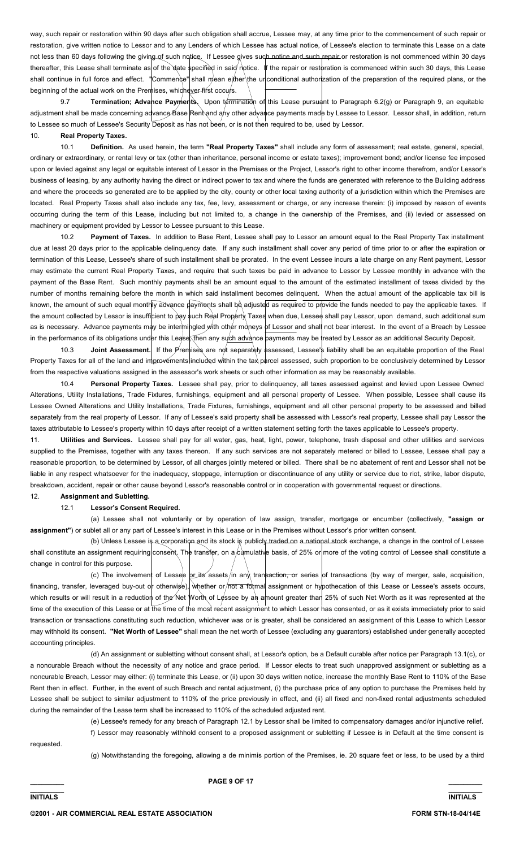way, such repair or restoration within 90 days after such obligation shall accrue, Lessee may, at any time prior to the commencement of such repair or restoration, give written notice to Lessor and to any Lenders of which Lessee has actual notice, of Lessee's election to terminate this Lease on a date not less than 60 days following the giving of such notice. If Lessee gives such notice and such repair or restoration is not commenced within 30 days thereafter, this Lease shall terminate as of the date specified in said notice. If the repair or restoration is commenced within such 30 days, this Lease shall continue in full force and effect. "Commence" shall mean either the unconditional authorization of the preparation of the required plans, or the beginning of the actual work on the Premises, whichever first occurs.

9.7 **Termination; Advance Payments.** Upon termination of this Lease pursuant to Paragraph 6.2(g) or Paragraph 9, an equitable adjustment shall be made concerning advance Base Rent and any other advance payments made by Lessee to Lessor. Lessor shall, in addition, return to Lessee so much of Lessee's Security Deposit as has not been, or is not then required to be, used by Lessor.

## 10. **Real Property Taxes.**

 10.1 **Definition.** As used herein, the term **"Real Property Taxes"** shall include any form of assessment; real estate, general, special, ordinary or extraordinary, or rental levy or tax (other than inheritance, personal income or estate taxes); improvement bond; and/or license fee imposed upon or levied against any legal or equitable interest of Lessor in the Premises or the Project, Lessor's right to other income therefrom, and/or Lessor's business of leasing, by any authority having the direct or indirect power to tax and where the funds are generated with reference to the Building address and where the proceeds so generated are to be applied by the city, county or other local taxing authority of a jurisdiction within which the Premises are located. Real Property Taxes shall also include any tax, fee, levy, assessment or charge, or any increase therein: (i) imposed by reason of events occurring during the term of this Lease, including but not limited to, a change in the ownership of the Premises, and (ii) levied or assessed on machinery or equipment provided by Lessor to Lessee pursuant to this Lease.

 10.2 **Payment of Taxes.** In addition to Base Rent, Lessee shall pay to Lessor an amount equal to the Real Property Tax installment due at least 20 days prior to the applicable delinquency date. If any such installment shall cover any period of time prior to or after the expiration or termination of this Lease, Lessee's share of such installment shall be prorated. In the event Lessee incurs a late charge on any Rent payment, Lessor may estimate the current Real Property Taxes, and require that such taxes be paid in advance to Lessor by Lessee monthly in advance with the payment of the Base Rent. Such monthly payments shall be an amount equal to the amount of the estimated installment of taxes divided by the number of months remaining before the month in which said installment becomes delinquent. When the actual amount of the applicable tax bill is known, the amount of such equal monthly advance payments shall be adjusted as required to provide the funds needed to pay the applicable taxes. If the amount collected by Lessor is insufficient to pay such Real Property Taxes when due, Lessee shall pay Lessor, upon demand, such additional sum as is necessary. Advance payments may be intermingled with other moneys of Lessor and shall not bear interest. In the event of a Breach by Lessee in the performance of its obligations under this Lease, then any such advance payments may be treated by Lessor as an additional Security Deposit.

10.3 **Joint Assessment.** If the Premises are not separately assessed, Lessee's liability shall be an equitable proportion of the Real Property Taxes for all of the land and improvements included within the tax parcel assessed, such proportion to be conclusively determined by Lessor from the respective valuations assigned in the assessor's work sheets or such other information as may be reasonably available.

 10.4 **Personal Property Taxes.** Lessee shall pay, prior to delinquency, all taxes assessed against and levied upon Lessee Owned Alterations, Utility Installations, Trade Fixtures, furnishings, equipment and all personal property of Lessee. When possible, Lessee shall cause its Lessee Owned Alterations and Utility Installations, Trade Fixtures, furnishings, equipment and all other personal property to be assessed and billed separately from the real property of Lessor. If any of Lessee's said property shall be assessed with Lessor's real property, Lessee shall pay Lessor the taxes attributable to Lessee's property within 10 days after receipt of a written statement setting forth the taxes applicable to Lessee's property.

11. **Utilities and Services.** Lessee shall pay for all water, gas, heat, light, power, telephone, trash disposal and other utilities and services supplied to the Premises, together with any taxes thereon. If any such services are not separately metered or billed to Lessee, Lessee shall pay a reasonable proportion, to be determined by Lessor, of all charges jointly metered or billed. There shall be no abatement of rent and Lessor shall not be liable in any respect whatsoever for the inadequacy, stoppage, interruption or discontinuance of any utility or service due to riot, strike, labor dispute, breakdown, accident, repair or other cause beyond Lessor's reasonable control or in cooperation with governmental request or directions.

# 12. **Assignment and Subletting.**

## 12.1 **Lessor's Consent Required.**

 (a) Lessee shall not voluntarily or by operation of law assign, transfer, mortgage or encumber (collectively, **"assign or assignment"**) or sublet all or any part of Lessee's interest in this Lease or in the Premises without Lessor's prior written consent.

(b) Unless Lessee is a corporation and its stock is publicly traded on a national stock exchange, a change in the control of Lessee shall constitute an assignment requiring consent. The transfer, on a cumulative basis, of 25% or more of the voting control of Lessee shall constitute a change in control for this purpose.

(c) The involvement of Lessee or its assets in any transaction, or series of transactions (by way of merger, sale, acquisition, financing, transfer, leveraged buy-out or otherwise), whether or not a formal assignment or hypothecation of this Lease or Lessee's assets occurs, which results or will result in a reduction of the Net Worth of Lessee by an amount greater than 25% of such Net Worth as it was represented at the time of the execution of this Lease or at the time of the most recent assignment to which Lessor has consented, or as it exists immediately prior to said transaction or transactions constituting such reduction, whichever was or is greater, shall be considered an assignment of this Lease to which Lessor may withhold its consent. **"Net Worth of Lessee"** shall mean the net worth of Lessee (excluding any guarantors) established under generally accepted accounting principles.

 (d) An assignment or subletting without consent shall, at Lessor's option, be a Default curable after notice per Paragraph 13.1(c), or a noncurable Breach without the necessity of any notice and grace period. If Lessor elects to treat such unapproved assignment or subletting as a noncurable Breach, Lessor may either: (i) terminate this Lease, or (ii) upon 30 days written notice, increase the monthly Base Rent to 110% of the Base Rent then in effect. Further, in the event of such Breach and rental adjustment, (i) the purchase price of any option to purchase the Premises held by Lessee shall be subject to similar adjustment to 110% of the price previously in effect, and (ii) all fixed and non-fixed rental adjustments scheduled during the remainder of the Lease term shall be increased to 110% of the scheduled adjusted rent.

> (e) Lessee's remedy for any breach of Paragraph 12.1 by Lessor shall be limited to compensatory damages and/or injunctive relief. f) Lessor may reasonably withhold consent to a proposed assignment or subletting if Lessee is in Default at the time consent is

requested.

(g) Notwithstanding the foregoing, allowing a de minimis portion of the Premises, ie. 20 square feet or less, to be used by a third

**\_\_\_\_\_\_\_\_\_ PAGE 9 OF 17 \_\_\_\_\_\_\_\_\_**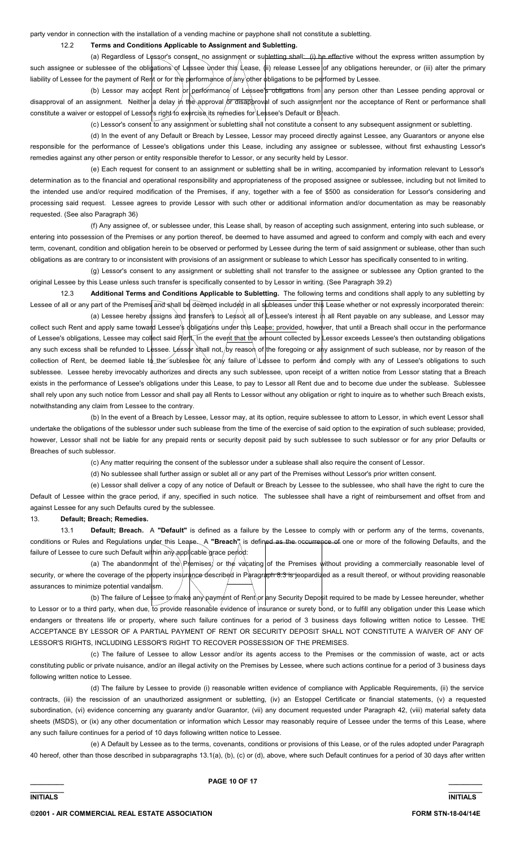party vendor in connection with the installation of a vending machine or payphone shall not constitute a subletting.

## 12.2 **Terms and Conditions Applicable to Assignment and Subletting.**

(a) Regardless of Lessor's consent, no assignment or subletting shall: (i) be effective without the express written assumption by such assignee or sublessee of the obligations of Lessee under this Lease, (ii) release Lessee of any obligations hereunder, or (iii) alter the primary liability of Lessee for the payment of Rent or for the performance of any other obligations to be performed by Lessee.

(b) Lessor may accept Rent or performance of Lessee's obligations from any person other than Lessee pending approval or disapproval of an assignment. Neither a delay in the approval or disapproval of such assignment nor the acceptance of Rent or performance shall constitute a waiver or estoppel of Lessor's right to exercise its remedies for Lessee's Default or Breach.

(c) Lessor's consent to any assignment or subletting shall not constitute a consent to any subsequent assignment or subletting.

 (d) In the event of any Default or Breach by Lessee, Lessor may proceed directly against Lessee, any Guarantors or anyone else responsible for the performance of Lessee's obligations under this Lease, including any assignee or sublessee, without first exhausting Lessor's remedies against any other person or entity responsible therefor to Lessor, or any security held by Lessor.

 (e) Each request for consent to an assignment or subletting shall be in writing, accompanied by information relevant to Lessor's determination as to the financial and operational responsibility and appropriateness of the proposed assignee or sublessee, including but not limited to the intended use and/or required modification of the Premises, if any, together with a fee of \$500 as consideration for Lessor's considering and processing said request. Lessee agrees to provide Lessor with such other or additional information and/or documentation as may be reasonably requested. (See also Paragraph 36)

 (f) Any assignee of, or sublessee under, this Lease shall, by reason of accepting such assignment, entering into such sublease, or entering into possession of the Premises or any portion thereof, be deemed to have assumed and agreed to conform and comply with each and every term, covenant, condition and obligation herein to be observed or performed by Lessee during the term of said assignment or sublease, other than such obligations as are contrary to or inconsistent with provisions of an assignment or sublease to which Lessor has specifically consented to in writing.

 (g) Lessor's consent to any assignment or subletting shall not transfer to the assignee or sublessee any Option granted to the original Lessee by this Lease unless such transfer is specifically consented to by Lessor in writing. (See Paragraph 39.2)

 12.3 **Additional Terms and Conditions Applicable to Subletting.** The following terms and conditions shall apply to any subletting by Lessee of all or any part of the Premises and shall be deemed included in all subleases under this Lease whether or not expressly incorporated therein:

(a) Lessee hereby assigns and transfers to Lesson all of Lessee's interest in all Rent payable on any sublease, and Lessor may collect such Rent and apply same toward Lessee's obligations under this Lease; provided, however, that until a Breach shall occur in the performance of Lessee's obligations, Lessee may collect said Rent. In the event that the amount collected by Lessor exceeds Lessee's then outstanding obligations any such excess shall be refunded to Lessee. Lessor shall not, by reason of the foregoing or any assignment of such sublease, nor by reason of the collection of Rent, be deemed liable to the sublessee for any failure of Lessee to perform and comply with any of Lessee's obligations to such sublessee. Lessee hereby irrevocably authorizes and directs any such sublessee, upon receipt of a written notice from Lessor stating that a Breach exists in the performance of Lessee's obligations under this Lease, to pay to Lessor all Rent due and to become due under the sublease. Sublessee shall rely upon any such notice from Lessor and shall pay all Rents to Lessor without any obligation or right to inquire as to whether such Breach exists, notwithstanding any claim from Lessee to the contrary.

 (b) In the event of a Breach by Lessee, Lessor may, at its option, require sublessee to attorn to Lessor, in which event Lessor shall undertake the obligations of the sublessor under such sublease from the time of the exercise of said option to the expiration of such sublease; provided, however, Lessor shall not be liable for any prepaid rents or security deposit paid by such sublessee to such sublessor or for any prior Defaults or Breaches of such sublessor.

(c) Any matter requiring the consent of the sublessor under a sublease shall also require the consent of Lessor.

(d) No sublessee shall further assign or sublet all or any part of the Premises without Lessor's prior written consent.

 (e) Lessor shall deliver a copy of any notice of Default or Breach by Lessee to the sublessee, who shall have the right to cure the Default of Lessee within the grace period, if any, specified in such notice. The sublessee shall have a right of reimbursement and offset from and against Lessee for any such Defaults cured by the sublessee.

#### 13. **Default; Breach; Remedies.**

 13.1 **Default; Breach.** A **"Default"** is defined as a failure by the Lessee to comply with or perform any of the terms, covenants, conditions or Rules and Regulations under this Lease. A "Breach" is defined as the occurrence of one or more of the following Defaults, and the failure of Lessee to cure such Default within any applicable grace period:

(a) The abandonment of the Premises; or the vacating of the Premises without providing a commercially reasonable level of security, or where the coverage of the property insurance described in Paragraph 8.3 is jeopardized as a result thereof, or without providing reasonable assurances to minimize potential vandalsm.

(b) The failure of Lessee to make any payment of Rent or any Security Deposit required to be made by Lessee hereunder, whether to Lessor or to a third party, when due, to provide reasonable evidence of insurance or surety bond, or to fulfill any obligation under this Lease which endangers or threatens life or property, where such failure continues for a period of 3 business days following written notice to Lessee. THE ACCEPTANCE BY LESSOR OF A PARTIAL PAYMENT OF RENT OR SECURITY DEPOSIT SHALL NOT CONSTITUTE A WAIVER OF ANY OF LESSOR'S RIGHTS, INCLUDING LESSOR'S RIGHT TO RECOVER POSSESSION OF THE PREMISES.

 (c) The failure of Lessee to allow Lessor and/or its agents access to the Premises or the commission of waste, act or acts constituting public or private nuisance, and/or an illegal activity on the Premises by Lessee, where such actions continue for a period of 3 business days following written notice to Lessee.

 (d) The failure by Lessee to provide (i) reasonable written evidence of compliance with Applicable Requirements, (ii) the service contracts, (iii) the rescission of an unauthorized assignment or subletting, (iv) an Estoppel Certificate or financial statements, (v) a requested subordination, (vi) evidence concerning any guaranty and/or Guarantor, (vii) any document requested under Paragraph 42, (viii) material safety data sheets (MSDS), or (ix) any other documentation or information which Lessor may reasonably require of Lessee under the terms of this Lease, where any such failure continues for a period of 10 days following written notice to Lessee.

 (e) A Default by Lessee as to the terms, covenants, conditions or provisions of this Lease, or of the rules adopted under Paragraph 40 hereof, other than those described in subparagraphs 13.1(a), (b), (c) or (d), above, where such Default continues for a period of 30 days after written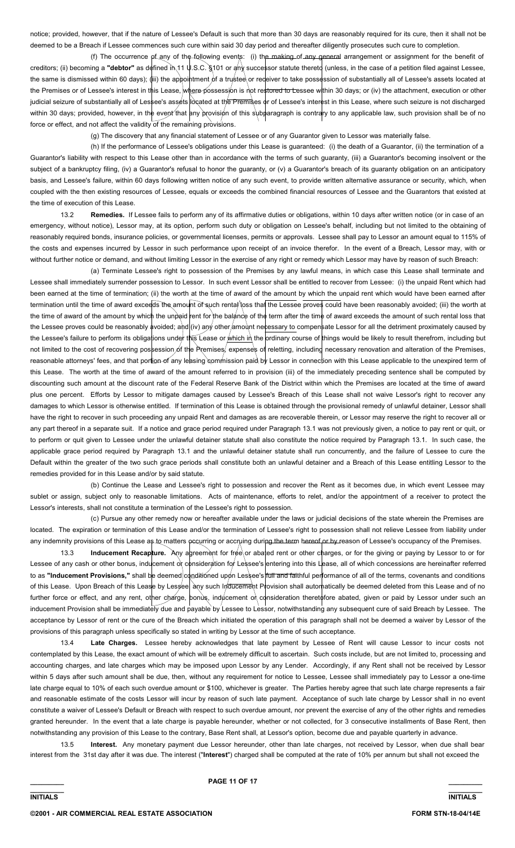notice; provided, however, that if the nature of Lessee's Default is such that more than 30 days are reasonably required for its cure, then it shall not be deemed to be a Breach if Lessee commences such cure within said 30 day period and thereafter diligently prosecutes such cure to completion.

 (f) The occurrence of any of the following events: (i) the making of any general arrangement or assignment for the benefit of creditors; (ii) becoming a "debtor" as defined in 11 U.S.C. §101 or any successor statute thereto (unless, in the case of a petition filed against Lessee, the same is dismissed within 60 days); (iii) the appointment of a trustee or redeiver to take possession of substantially all of Lessee's assets located at the Premises or of Lessee's interest in this Lease, where possession is not restored to Lessee within 30 days; or (iv) the attachment, execution or other judicial seizure of substantially all of Lessee's assets located at the Premises or of Lessee's interest in this Lease, where such seizure is not discharged within 30 days; provided, however, in the event that any provision of this subparagraph is contrary to any applicable law, such provision shall be of no force or effect, and not affect the validity of the remaining provisions.

(g) The discovery that any financial statement of Lessee or of any Guarantor given to Lessor was materially false.

 (h) If the performance of Lessee's obligations under this Lease is guaranteed: (i) the death of a Guarantor, (ii) the termination of a Guarantor's liability with respect to this Lease other than in accordance with the terms of such guaranty, (iii) a Guarantor's becoming insolvent or the subject of a bankruptcy filing, (iv) a Guarantor's refusal to honor the guaranty, or (v) a Guarantor's breach of its guaranty obligation on an anticipatory basis, and Lessee's failure, within 60 days following written notice of any such event, to provide written alternative assurance or security, which, when coupled with the then existing resources of Lessee, equals or exceeds the combined financial resources of Lessee and the Guarantors that existed at the time of execution of this Lease.

 13.2 **Remedies.** If Lessee fails to perform any of its affirmative duties or obligations, within 10 days after written notice (or in case of an emergency, without notice), Lessor may, at its option, perform such duty or obligation on Lessee's behalf, including but not limited to the obtaining of reasonably required bonds, insurance policies, or governmental licenses, permits or approvals. Lessee shall pay to Lessor an amount equal to 115% of the costs and expenses incurred by Lessor in such performance upon receipt of an invoice therefor. In the event of a Breach, Lessor may, with or without further notice or demand, and without limiting Lessor in the exercise of any right or remedy which Lessor may have by reason of such Breach:

 (a) Terminate Lessee's right to possession of the Premises by any lawful means, in which case this Lease shall terminate and Lessee shall immediately surrender possession to Lessor. In such event Lessor shall be entitled to recover from Lessee: (i) the unpaid Rent which had been earned at the time of termination; (ii) the worth at the time of award of the amount by which the unpaid rent which would have been earned after termination until the time of award exceeds the amount of such rental loss that the Lessee proves could have been reasonably avoided; (iii) the worth at the time of award of the amount by which the unpaid rent for the balance of the term after the time of award exceeds the amount of such rental loss that the Lessee proves could be reasonably avoided; and (iv) any other/amount necessary to compensate Lessor for all the detriment proximately caused by the Lessee's failure to perform its obligations under this Lease or *which in the ordinary course of things would be likely to result therefrom, including but* not limited to the cost of recovering possession of the Premises, expenses of reletting, including necessary renovation and alteration of the Premises, reasonable attorneys' fees, and that portion of any leasing commission paid by Lessor in connection with this Lease applicable to the unexpired term of this Lease. The worth at the time of award of the amount referred to in provision (iii) of the immediately preceding sentence shall be computed by discounting such amount at the discount rate of the Federal Reserve Bank of the District within which the Premises are located at the time of award plus one percent. Efforts by Lessor to mitigate damages caused by Lessee's Breach of this Lease shall not waive Lessor's right to recover any damages to which Lessor is otherwise entitled. If termination of this Lease is obtained through the provisional remedy of unlawful detainer, Lessor shall have the right to recover in such proceeding any unpaid Rent and damages as are recoverable therein, or Lessor may reserve the right to recover all or any part thereof in a separate suit. If a notice and grace period required under Paragraph 13.1 was not previously given, a notice to pay rent or quit, or to perform or quit given to Lessee under the unlawful detainer statute shall also constitute the notice required by Paragraph 13.1. In such case, the applicable grace period required by Paragraph 13.1 and the unlawful detainer statute shall run concurrently, and the failure of Lessee to cure the Default within the greater of the two such grace periods shall constitute both an unlawful detainer and a Breach of this Lease entitling Lessor to the remedies provided for in this Lease and/or by said statute.

 (b) Continue the Lease and Lessee's right to possession and recover the Rent as it becomes due, in which event Lessee may sublet or assign, subject only to reasonable limitations. Acts of maintenance, efforts to relet, and/or the appointment of a receiver to protect the Lessor's interests, shall not constitute a termination of the Lessee's right to possession.

 (c) Pursue any other remedy now or hereafter available under the laws or judicial decisions of the state wherein the Premises are located. The expiration or termination of this Lease and/or the termination of Lessee's right to possession shall not relieve Lessee from liability under any indemnity provisions of this Lease as to matters pecurring or accruing during the term hereof or by reason of Lessee's occupancy of the Premises.

13.3 **Inducement Recapture.** Any agreement for free or abated rent or other charges, or for the giving or paying by Lessor to or for Lessee of any cash or other bonus, inducement or consideration for Lessee's entering into this Lease, all of which concessions are hereinafter referred to as "Inducement Provisions," shall be deemed conditioned upon Lessee's full and faithful performance of all of the terms, covenants and conditions of this Lease. Upon Breach of this Lease by Lessee, any such Inducement Provision shall automatically be deemed deleted from this Lease and of no further force or effect, and any rent, other charge, bonus, inducement of consideration theretofore abated, given or paid by Lessor under such an inducement Provision shall be immediately due and payable by Lessee to Lessor, notwithstanding any subsequent cure of said Breach by Lessee. The acceptance by Lessor of rent or the cure of the Breach which initiated the operation of this paragraph shall not be deemed a waiver by Lessor of the provisions of this paragraph unless specifically so stated in writing by Lessor at the time of such acceptance.

 13.4 **Late Charges.** Lessee hereby acknowledges that late payment by Lessee of Rent will cause Lessor to incur costs not contemplated by this Lease, the exact amount of which will be extremely difficult to ascertain. Such costs include, but are not limited to, processing and accounting charges, and late charges which may be imposed upon Lessor by any Lender. Accordingly, if any Rent shall not be received by Lessor within 5 days after such amount shall be due, then, without any requirement for notice to Lessee, Lessee shall immediately pay to Lessor a one-time late charge equal to 10% of each such overdue amount or \$100, whichever is greater. The Parties hereby agree that such late charge represents a fair and reasonable estimate of the costs Lessor will incur by reason of such late payment. Acceptance of such late charge by Lessor shall in no event constitute a waiver of Lessee's Default or Breach with respect to such overdue amount, nor prevent the exercise of any of the other rights and remedies granted hereunder. In the event that a late charge is payable hereunder, whether or not collected, for 3 consecutive installments of Base Rent, then notwithstanding any provision of this Lease to the contrary, Base Rent shall, at Lessor's option, become due and payable quarterly in advance.

 13.5 **Interest.** Any monetary payment due Lessor hereunder, other than late charges, not received by Lessor, when due shall bear interest from the 31st day after it was due. The interest ("**Interest**") charged shall be computed at the rate of 10% per annum but shall not exceed the

**\_\_\_\_\_\_\_\_\_ \_\_\_\_\_\_\_\_\_**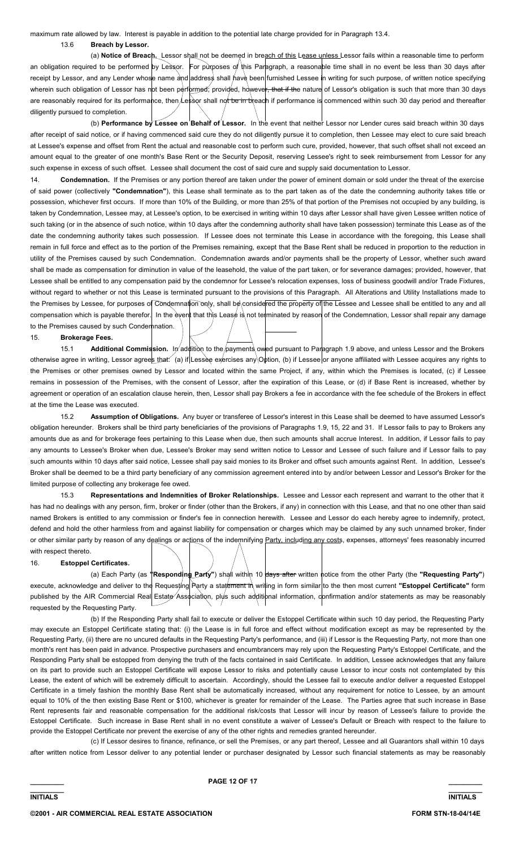maximum rate allowed by law. Interest is payable in addition to the potential late charge provided for in Paragraph 13.4. 13.6 **Breach by Lessor.**

 (a) **Notice of Breach.** Lessor shall not be deemed in breach of this Lease unless Lessor fails within a reasonable time to perform an obligation required to be performed by Lessor. For purposes of this Paragraph, a reasonable time shall in no event be less than 30 days after receipt by Lessor, and any Lender whose name and address shall have been furnished Lessee in writing for such purpose, of written notice specifying wherein such obligation of Lessor has not been performed; provided, however, that if the nature of Lessor's obligation is such that more than 30 days are reasonably required for its performance, then Lessor shall not be in breach if performance is commenced within such 30 day period and thereafter diligently pursued to completion.

 (b) **Performance by Lessee on Behalf of Lessor.** In the event that neither Lessor nor Lender cures said breach within 30 days after receipt of said notice, or if having commenced said cure they do not diligently pursue it to completion, then Lessee may elect to cure said breach at Lessee's expense and offset from Rent the actual and reasonable cost to perform such cure, provided, however, that such offset shall not exceed an amount equal to the greater of one month's Base Rent or the Security Deposit, reserving Lessee's right to seek reimbursement from Lessor for any such expense in excess of such offset. Lessee shall document the cost of said cure and supply said documentation to Lessor.

14. **Condemnation.** If the Premises or any portion thereof are taken under the power of eminent domain or sold under the threat of the exercise of said power (collectively **"Condemnation"**), this Lease shall terminate as to the part taken as of the date the condemning authority takes title or possession, whichever first occurs. If more than 10% of the Building, or more than 25% of that portion of the Premises not occupied by any building, is taken by Condemnation, Lessee may, at Lessee's option, to be exercised in writing within 10 days after Lessor shall have given Lessee written notice of such taking (or in the absence of such notice, within 10 days after the condemning authority shall have taken possession) terminate this Lease as of the date the condemning authority takes such possession. If Lessee does not terminate this Lease in accordance with the foregoing, this Lease shall remain in full force and effect as to the portion of the Premises remaining, except that the Base Rent shall be reduced in proportion to the reduction in utility of the Premises caused by such Condemnation. Condemnation awards and/or payments shall be the property of Lessor, whether such award shall be made as compensation for diminution in value of the leasehold, the value of the part taken, or for severance damages; provided, however, that Lessee shall be entitled to any compensation paid by the condemnor for Lessee's relocation expenses, loss of business goodwill and/or Trade Fixtures, without regard to whether or not this Lease is terminated pursuant to the provisions of this Paragraph. All Alterations and Utility Installations made to the Premises by Lessee, for purposes of Condemnation only, shall be considered the property of the Lessee and Lessee shall be entitled to any and all compensation which is payable therefor. In the event that this Lease is not terminated by reason of the Condemnation, Lessor shall repair any damage to the Premises caused by such Condemnation.

#### 15. **Brokerage Fees.**

15.1 **Additional Commission.** In addition to the payments owed pursuant to Paragraph 1.9 above, and unless Lessor and the Brokers otherwise agree in writing, Lessor agrees that: (a) if Lessee exercises any Option, (b) if Lessee or anyone affiliated with Lessee acquires any rights to the Premises or other premises owned by Lessor and located within the same Project, if any, within which the Premises is located, (c) if Lessee remains in possession of the Premises, with the consent of Lessor, after the expiration of this Lease, or (d) if Base Rent is increased, whether by agreement or operation of an escalation clause herein, then, Lessor shall pay Brokers a fee in accordance with the fee schedule of the Brokers in effect at the time the Lease was executed.

 15.2 **Assumption of Obligations.** Any buyer or transferee of Lessor's interest in this Lease shall be deemed to have assumed Lessor's obligation hereunder. Brokers shall be third party beneficiaries of the provisions of Paragraphs 1.9, 15, 22 and 31. If Lessor fails to pay to Brokers any amounts due as and for brokerage fees pertaining to this Lease when due, then such amounts shall accrue Interest. In addition, if Lessor fails to pay any amounts to Lessee's Broker when due, Lessee's Broker may send written notice to Lessor and Lessee of such failure and if Lessor fails to pay such amounts within 10 days after said notice, Lessee shall pay said monies to its Broker and offset such amounts against Rent. In addition, Lessee's Broker shall be deemed to be a third party beneficiary of any commission agreement entered into by and/or between Lessor and Lessor's Broker for the limited purpose of collecting any brokerage fee owed.

 15.3 **Representations and Indemnities of Broker Relationships.** Lessee and Lessor each represent and warrant to the other that it has had no dealings with any person, firm, broker or finder (other than the Brokers, if any) in connection with this Lease, and that no one other than said named Brokers is entitled to any commission or finder's fee in connection herewith. Lessee and Lessor do each hereby agree to indemnify, protect, defend and hold the other harmless from and against liability for compensation or charges which may be claimed by any such unnamed broker, finder or other similar party by reason of any dealings or actions of the indemnifying Party, including any costs, expenses, attorneys' fees reasonably incurred with respect thereto.

#### 16. **Estoppel Certificates.**

 (a) Each Party (as **"Responding Party"**) shall within 10 days after written notice from the other Party (the **"Requesting Party"**) execute, acknowledge and deliver to the Requesting Party a statement in writing in form similar to the then most current "Estoppel Certificate" form published by the AIR Commercial Real Estate Association, plus such additional information, confirmation and/or statements as may be reasonably requested by the Requesting Party.

 (b) If the Responding Party shall fail to execute or deliver the Estoppel Certificate within such 10 day period, the Requesting Party may execute an Estoppel Certificate stating that: (i) the Lease is in full force and effect without modification except as may be represented by the Requesting Party, (ii) there are no uncured defaults in the Requesting Party's performance, and (iii) if Lessor is the Requesting Party, not more than one month's rent has been paid in advance. Prospective purchasers and encumbrancers may rely upon the Requesting Party's Estoppel Certificate, and the Responding Party shall be estopped from denying the truth of the facts contained in said Certificate. In addition, Lessee acknowledges that any failure on its part to provide such an Estoppel Certificate will expose Lessor to risks and potentially cause Lessor to incur costs not contemplated by this Lease, the extent of which will be extremely difficult to ascertain. Accordingly, should the Lessee fail to execute and/or deliver a requested Estoppel Certificate in a timely fashion the monthly Base Rent shall be automatically increased, without any requirement for notice to Lessee, by an amount equal to 10% of the then existing Base Rent or \$100, whichever is greater for remainder of the Lease. The Parties agree that such increase in Base Rent represents fair and reasonable compensation for the additional risk/costs that Lessor will incur by reason of Lessee's failure to provide the Estoppel Certificate. Such increase in Base Rent shall in no event constitute a waiver of Lessee's Default or Breach with respect to the failure to provide the Estoppel Certificate nor prevent the exercise of any of the other rights and remedies granted hereunder.

 (c) If Lessor desires to finance, refinance, or sell the Premises, or any part thereof, Lessee and all Guarantors shall within 10 days after written notice from Lessor deliver to any potential lender or purchaser designated by Lessor such financial statements as may be reasonably

**\_\_\_\_\_\_\_\_\_ \_\_\_\_\_\_\_\_\_ INITIALS INITIALS**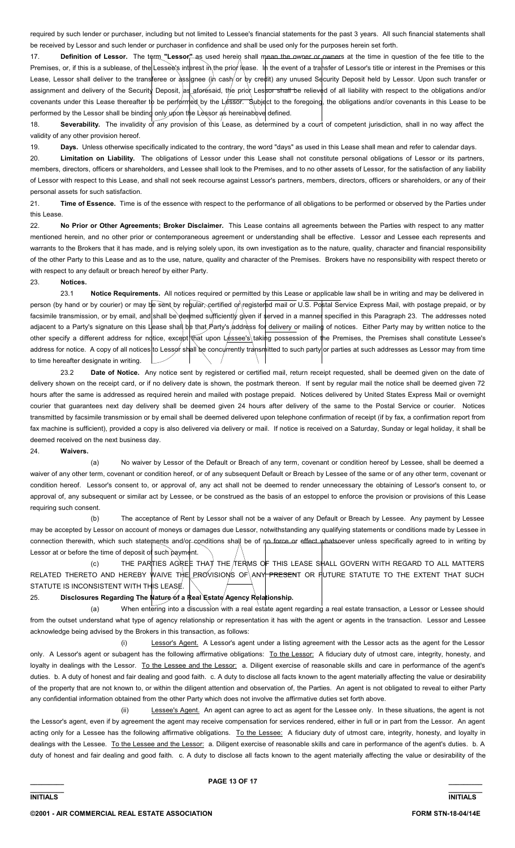required by such lender or purchaser, including but not limited to Lessee's financial statements for the past 3 years. All such financial statements shall be received by Lessor and such lender or purchaser in confidence and shall be used only for the purposes herein set forth.

17. **Definition of Lessor.** The term "Lessor<sup>m</sup> as used herein shall mean the owner or owners at the time in question of the fee title to the Premises, or, if this is a sublease, of the Lessee's interest in the priof lease. In the event of a transfer of Lessor's title or interest in the Premises or this Lease, Lessor shall deliver to the transferee or assignee (in cash or by credit) any unused Security Deposit held by Lessor. Upon such transfer or assignment and delivery of the Security Deposit, as aforesaid, the prior Lessor shall be relieved of all liability with respect to the obligations and/or covenants under this Lease thereafter to be performed by the Lessor. Subject to the foregoing, the obligations and/or covenants in this Lease to be performed by the Lessor shall be binding only  $\mu$  pon the Lessor as hereinabove defined.

18. **Severability.** The invalidity of any provision of this Lease, as determined by a court of competent jurisdiction, shall in no way affect the validity of any other provision hereof.

19. Days. Unless otherwise specifically indicated to the contrary, the word "days" as used in this Lease shall mean and refer to calendar days.

20. **Limitation on Liability.** The obligations of Lessor under this Lease shall not constitute personal obligations of Lessor or its partners, members, directors, officers or shareholders, and Lessee shall look to the Premises, and to no other assets of Lessor, for the satisfaction of any liability of Lessor with respect to this Lease, and shall not seek recourse against Lessor's partners, members, directors, officers or shareholders, or any of their personal assets for such satisfaction.

21. **Time of Essence.** Time is of the essence with respect to the performance of all obligations to be performed or observed by the Parties under this Lease.

22. **No Prior or Other Agreements; Broker Disclaimer.** This Lease contains all agreements between the Parties with respect to any matter mentioned herein, and no other prior or contemporaneous agreement or understanding shall be effective. Lessor and Lessee each represents and warrants to the Brokers that it has made, and is relying solely upon, its own investigation as to the nature, quality, character and financial responsibility of the other Party to this Lease and as to the use, nature, quality and character of the Premises. Brokers have no responsibility with respect thereto or with respect to any default or breach hereof by either Party.

# 23. **Notices.**

 23.1 **Notice Requirements.** All notices required or permitted by this Lease or applicable law shall be in writing and may be delivered in person (by hand or by courier) or may be sent by regular, certified of registered mail or U.S. Postal Service Express Mail, with postage prepaid, or by facsimile transmission, or by email, and shall be deemed sufficiently given if served in a manner specified in this Paragraph 23. The addresses noted adjacent to a Party's signature on this Lease shall be that Party's address for delivery or mailing of notices. Either Party may by written notice to the other specify a different address for notice, except that upon Lessee's taking possession of the Premises, the Premises shall constitute Lessee's address for notice. A copy of all notices to Lessor shall be concyrrently transmitted to such party or parties at such addresses as Lessor may from time to time hereafter designate in writing.

 23.2 **Date of Notice.** Any notice sent by registered or certified mail, return receipt requested, shall be deemed given on the date of delivery shown on the receipt card, or if no delivery date is shown, the postmark thereon. If sent by regular mail the notice shall be deemed given 72 hours after the same is addressed as required herein and mailed with postage prepaid. Notices delivered by United States Express Mail or overnight courier that guarantees next day delivery shall be deemed given 24 hours after delivery of the same to the Postal Service or courier. Notices transmitted by facsimile transmission or by email shall be deemed delivered upon telephone confirmation of receipt (if by fax, a confirmation report from fax machine is sufficient), provided a copy is also delivered via delivery or mail. If notice is received on a Saturday, Sunday or legal holiday, it shall be deemed received on the next business day.

#### 24. **Waivers.**

 (a) No waiver by Lessor of the Default or Breach of any term, covenant or condition hereof by Lessee, shall be deemed a waiver of any other term, covenant or condition hereof, or of any subsequent Default or Breach by Lessee of the same or of any other term, covenant or condition hereof. Lessor's consent to, or approval of, any act shall not be deemed to render unnecessary the obtaining of Lessor's consent to, or approval of, any subsequent or similar act by Lessee, or be construed as the basis of an estoppel to enforce the provision or provisions of this Lease requiring such consent.

 (b) The acceptance of Rent by Lessor shall not be a waiver of any Default or Breach by Lessee. Any payment by Lessee may be accepted by Lessor on account of moneys or damages due Lessor, notwithstanding any qualifying statements or conditions made by Lessee in connection therewith, which such statements and/or-conditions shall be of no force or effect whatsoever unless specifically agreed to in writing by Lessor at or before the time of deposit of such payment.

 (c) THE PARTIES AGREE THAT THE TERMS OF THIS LEASE SHALL GOVERN WITH REGARD TO ALL MATTERS RELATED THERETO AND HEREBY WAIVE THE PROVISIONS OF ANY PRESENT OR FUTURE STATUTE TO THE EXTENT THAT SUCH STATUTE IS INCONSISTENT WITH THIS LEASE.

# 25. **Disclosures Regarding The Nature of a Real Estate Agency Relationship.**

 (a) When entering into a discussion with a real estate agent regarding a real estate transaction, a Lessor or Lessee should from the outset understand what type of agency relationship or representation it has with the agent or agents in the transaction. Lessor and Lessee acknowledge being advised by the Brokers in this transaction, as follows:

 (i) Lessor's Agent. A Lessor's agent under a listing agreement with the Lessor acts as the agent for the Lessor only. A Lessor's agent or subagent has the following affirmative obligations: To the Lessor: A fiduciary duty of utmost care, integrity, honesty, and loyalty in dealings with the Lessor. To the Lessee and the Lessor: a. Diligent exercise of reasonable skills and care in performance of the agent's duties. b. A duty of honest and fair dealing and good faith. c. A duty to disclose all facts known to the agent materially affecting the value or desirability of the property that are not known to, or within the diligent attention and observation of, the Parties. An agent is not obligated to reveal to either Party any confidential information obtained from the other Party which does not involve the affirmative duties set forth above.

 (ii) Lessee's Agent. An agent can agree to act as agent for the Lessee only. In these situations, the agent is not the Lessor's agent, even if by agreement the agent may receive compensation for services rendered, either in full or in part from the Lessor. An agent acting only for a Lessee has the following affirmative obligations. To the Lessee: A fiduciary duty of utmost care, integrity, honesty, and loyalty in dealings with the Lessee. To the Lessee and the Lessor: a. Diligent exercise of reasonable skills and care in performance of the agent's duties. b. A duty of honest and fair dealing and good faith. c. A duty to disclose all facts known to the agent materially affecting the value or desirability of the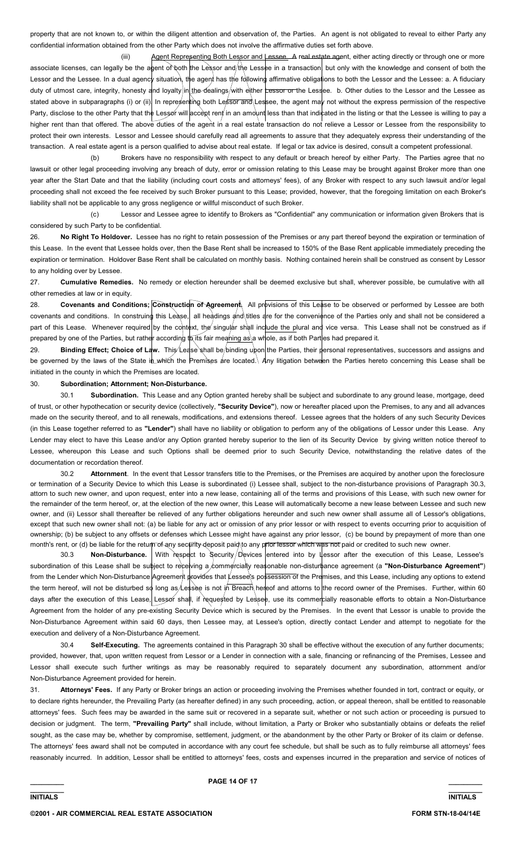property that are not known to, or within the diligent attention and observation of, the Parties. An agent is not obligated to reveal to either Party any confidential information obtained from the other Party which does not involve the affirmative duties set forth above.

(iii) Agent Representing Both Lessor and Lessee. A real estate agent, either acting directly or through one or more associate licenses, can legally be the agent of both the Lessor and/the Lessee in a transaction, but only with the knowledge and consent of both the Lessor and the Lessee. In a dual agency situation, the agent has the following affirmative obligations to both the Lessor and the Lessee: a. A fiduciary duty of utmost care, integrity, honesty and loyalty in the dealings/with either Lessor or the Lessee. b. Other duties to the Lessor and the Lessee as stated above in subparagraphs (i) or (ii). In representing both Lessor and\Lessee, the agent may not without the express permission of the respective Party, disclose to the other Party that the Lessor will accept rent in an amount less than that indicated in the listing or that the Lessee is willing to pay a higher rent than that offered. The above duties of the agent in a real estate transaction do not relieve a Lessor or Lessee from the responsibility to protect their own interests. Lessor and Lessee should carefully read all agreements to assure that they adequately express their understanding of the transaction. A real estate agent is a person qualified to advise about real estate. If legal or tax advice is desired, consult a competent professional.

 (b) Brokers have no responsibility with respect to any default or breach hereof by either Party. The Parties agree that no lawsuit or other legal proceeding involving any breach of duty, error or omission relating to this Lease may be brought against Broker more than one year after the Start Date and that the liability (including court costs and attorneys' fees), of any Broker with respect to any such lawsuit and/or legal proceeding shall not exceed the fee received by such Broker pursuant to this Lease; provided, however, that the foregoing limitation on each Broker's liability shall not be applicable to any gross negligence or willful misconduct of such Broker.

 (c) Lessor and Lessee agree to identify to Brokers as "Confidential" any communication or information given Brokers that is considered by such Party to be confidential.

26. **No Right To Holdover.** Lessee has no right to retain possession of the Premises or any part thereof beyond the expiration or termination of this Lease. In the event that Lessee holds over, then the Base Rent shall be increased to 150% of the Base Rent applicable immediately preceding the expiration or termination. Holdover Base Rent shall be calculated on monthly basis. Nothing contained herein shall be construed as consent by Lessor to any holding over by Lessee.

27. **Cumulative Remedies.** No remedy or election hereunder shall be deemed exclusive but shall, wherever possible, be cumulative with all other remedies at law or in equity.

28. **Covenants and Conditions; Construction of Agreement.** All provisions of this Lease to be observed or performed by Lessee are both covenants and conditions. In construing this Lease, all headings and titles are for the convenience of the Parties only and shall not be considered a part of this Lease. Whenever required by the context, the singular shall include the plural and vice versa. This Lease shall not be construed as if prepared by one of the Parties, but rather according to its fair meaning as a whole, as if both Parties had prepared it.

29. **Binding Effect; Choice of Law.** This Lease shall be binding upon the Parties, their personal representatives, successors and assigns and be governed by the laws of the State in which the Premises are located. Any litigation between the Parties hereto concerning this Lease shall be initiated in the county in which the Premises are located.

#### 30. **Subordination; Attornment; Non-Disturbance.**

 30.1 **Subordination.** This Lease and any Option granted hereby shall be subject and subordinate to any ground lease, mortgage, deed of trust, or other hypothecation or security device (collectively, **"Security Device"**), now or hereafter placed upon the Premises, to any and all advances made on the security thereof, and to all renewals, modifications, and extensions thereof. Lessee agrees that the holders of any such Security Devices (in this Lease together referred to as **"Lender"**) shall have no liability or obligation to perform any of the obligations of Lessor under this Lease. Any Lender may elect to have this Lease and/or any Option granted hereby superior to the lien of its Security Device by giving written notice thereof to Lessee, whereupon this Lease and such Options shall be deemed prior to such Security Device, notwithstanding the relative dates of the documentation or recordation thereof.

 30.2 **Attornment**. In the event that Lessor transfers title to the Premises, or the Premises are acquired by another upon the foreclosure or termination of a Security Device to which this Lease is subordinated (i) Lessee shall, subject to the non-disturbance provisions of Paragraph 30.3, attorn to such new owner, and upon request, enter into a new lease, containing all of the terms and provisions of this Lease, with such new owner for the remainder of the term hereof, or, at the election of the new owner, this Lease will automatically become a new lease between Lessee and such new owner, and (ii) Lessor shall thereafter be relieved of any further obligations hereunder and such new owner shall assume all of Lessor's obligations, except that such new owner shall not: (a) be liable for any act or omission of any prior lessor or with respect to events occurring prior to acquisition of ownership; (b) be subject to any offsets or defenses which Lessee might have against any prior lessor, (c) be bound by prepayment of more than one month's rent, or (d) be liable for the return of any security deposit paid to any prior lessor which was not paid or credited to such new owner.

30.3 **Non-Disturbance.** With respect to Security/Devices entered into by Lessor after the execution of this Lease, Lessee's subordination of this Lease shall be subject to receving a commercially reasonable non-disturbance agreement (a "Non-Disturbance Agreement") from the Lender which Non-Disturbance Agreement provides that Lessee's possession of the Premises, and this Lease, including any options to extend the term hereof, will not be disturbed so long as Lessee is not in Breach hereof and attorns to the record owner of the Premises. Further, within 60 days after the execution of this Lease, Lessor shall, if requested by Lessee, use its commercially reasonable efforts to obtain a Non-Disturbance Agreement from the holder of any pre-existing Security Device which is secured by the Premises. In the event that Lessor is unable to provide the Non-Disturbance Agreement within said 60 days, then Lessee may, at Lessee's option, directly contact Lender and attempt to negotiate for the execution and delivery of a Non-Disturbance Agreement.

 30.4 **Self-Executing.** The agreements contained in this Paragraph 30 shall be effective without the execution of any further documents; provided, however, that, upon written request from Lessor or a Lender in connection with a sale, financing or refinancing of the Premises, Lessee and Lessor shall execute such further writings as may be reasonably required to separately document any subordination, attornment and/or Non-Disturbance Agreement provided for herein.

31. **Attorneys' Fees.** If any Party or Broker brings an action or proceeding involving the Premises whether founded in tort, contract or equity, or to declare rights hereunder, the Prevailing Party (as hereafter defined) in any such proceeding, action, or appeal thereon, shall be entitled to reasonable attorneys' fees. Such fees may be awarded in the same suit or recovered in a separate suit, whether or not such action or proceeding is pursued to decision or judgment. The term, **"Prevailing Party"** shall include, without limitation, a Party or Broker who substantially obtains or defeats the relief sought, as the case may be, whether by compromise, settlement, judgment, or the abandonment by the other Party or Broker of its claim or defense. The attorneys' fees award shall not be computed in accordance with any court fee schedule, but shall be such as to fully reimburse all attorneys' fees reasonably incurred. In addition, Lessor shall be entitled to attorneys' fees, costs and expenses incurred in the preparation and service of notices of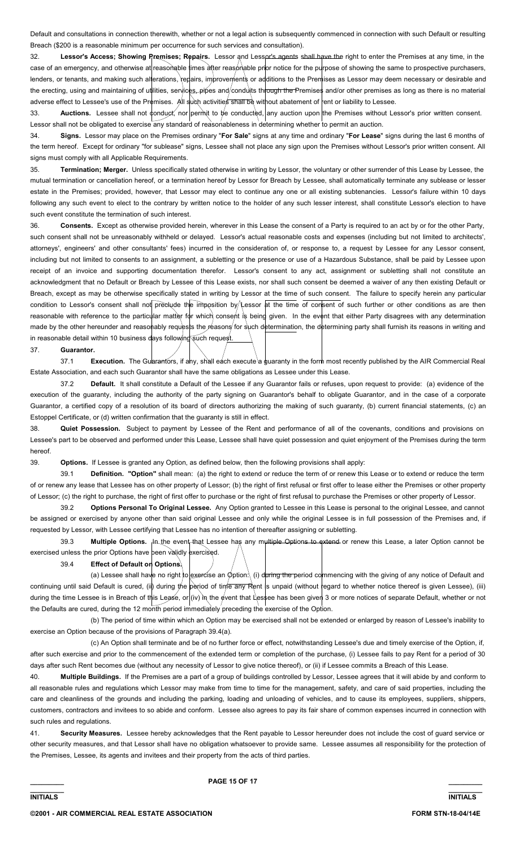Default and consultations in connection therewith, whether or not a legal action is subsequently commenced in connection with such Default or resulting Breach (\$200 is a reasonable minimum per occurrence for such services and consultation).

32. **Lessor's Access; Showing Premises; Repairs.** Lessor and Lessor's agents shall have the right to enter the Premises at any time, in the case of an emergency, and otherwise at reasonable times atter reasonable prior notice for the purpose of showing the same to prospective purchasers, lenders, or tenants, and making such alterations, repairs, improvements or additions to the Premises as Lessor may deem necessary or desirable and the erecting, using and maintaining of utilities, services, pipes and/conduts through the Premises and/or other premises as long as there is no material adverse effect to Lessee's use of the Premises. All such activities shall be without abatement of rent or liability to Lessee.

33. **Auctions.** Lessee shall not conduct, nor permit to be conducted, any auction upon the Premises without Lessor's prior written consent. Lessor shall not be obligated to exercise any standard of reasonableness in determining whether to permit an auction.

34. **Signs.** Lessor may place on the Premises ordinary "**For Sale**" signs at any time and ordinary "**For Lease**" signs during the last 6 months of the term hereof. Except for ordinary "for sublease" signs, Lessee shall not place any sign upon the Premises without Lessor's prior written consent. All signs must comply with all Applicable Requirements.

35. **Termination; Merger.** Unless specifically stated otherwise in writing by Lessor, the voluntary or other surrender of this Lease by Lessee, the mutual termination or cancellation hereof, or a termination hereof by Lessor for Breach by Lessee, shall automatically terminate any sublease or lesser estate in the Premises; provided, however, that Lessor may elect to continue any one or all existing subtenancies. Lessor's failure within 10 days following any such event to elect to the contrary by written notice to the holder of any such lesser interest, shall constitute Lessor's election to have such event constitute the termination of such interest.

36. **Consents.** Except as otherwise provided herein, wherever in this Lease the consent of a Party is required to an act by or for the other Party, such consent shall not be unreasonably withheld or delayed. Lessor's actual reasonable costs and expenses (including but not limited to architects', attorneys', engineers' and other consultants' fees) incurred in the consideration of, or response to, a request by Lessee for any Lessor consent, including but not limited to consents to an assignment, a subletting or the presence or use of a Hazardous Substance, shall be paid by Lessee upon receipt of an invoice and supporting documentation therefor. Lessor's consent to any act, assignment or subletting shall not constitute an acknowledgment that no Default or Breach by Lessee of this Lease exists, nor shall such consent be deemed a waiver of any then existing Default or Breach, except as may be otherwise specifically stated in writing by Lessor at the time of such consent. The failure to specify herein any particular condition to Lessor's consent shall not preclude the imposition by Lessor at the time of consent of such further or other conditions as are then reasonable with reference to the particular matter for which consent is being given. In the event that either Party disagrees with any determination made by the other hereunder and reasonably requests the reasons for such determination, the determining party shall furnish its reasons in writing and in reasonable detail within 10 business days following such request

#### 37. **Guarantor.**

37.1 **Execution.** The Guarantors, if any, shall each execute a guaranty in the form most recently published by the AIR Commercial Real Estate Association, and each such Guarantor shall have the same obligations as Lessee under this Lease.

 37.2 **Default.** It shall constitute a Default of the Lessee if any Guarantor fails or refuses, upon request to provide: (a) evidence of the execution of the guaranty, including the authority of the party signing on Guarantor's behalf to obligate Guarantor, and in the case of a corporate Guarantor, a certified copy of a resolution of its board of directors authorizing the making of such guaranty, (b) current financial statements, (c) an Estoppel Certificate, or (d) written confirmation that the guaranty is still in effect.

38. **Quiet Possession.** Subject to payment by Lessee of the Rent and performance of all of the covenants, conditions and provisions on Lessee's part to be observed and performed under this Lease, Lessee shall have quiet possession and quiet enjoyment of the Premises during the term hereof.

39. **Options.** If Lessee is granted any Option, as defined below, then the following provisions shall apply:

 39.1 **Definition. "Option"** shall mean: (a) the right to extend or reduce the term of or renew this Lease or to extend or reduce the term of or renew any lease that Lessee has on other property of Lessor; (b) the right of first refusal or first offer to lease either the Premises or other property of Lessor; (c) the right to purchase, the right of first offer to purchase or the right of first refusal to purchase the Premises or other property of Lessor.

 39.2 **Options Personal To Original Lessee.** Any Option granted to Lessee in this Lease is personal to the original Lessee, and cannot be assigned or exercised by anyone other than said original Lessee and only while the original Lessee is in full possession of the Premises and, if requested by Lessor, with Lessee certifying that Lessee has no intention of thereafter assigning or subletting.

39.3 **Multiple Options.** <sub>I</sub>In the event that Lessee has any multiple Options to extend or renew this Lease, a later Option cannot be exercised unless the prior Options have been validly exercised.

39.4 **Effect of Default on Options.**

(a) Lessee shall have no right to exercise an  $\phi$ ption: (i) during the period commencing with the giving of any notice of Default and continuing until said Default is cured, (ii) during the period of time any Rent is unpaid (without regard to whether notice thereof is given Lessee), (iii) during the time Lessee is in Breach of this Lease, or (iv) in the event that Lessee has been given 3 or more notices of separate Default, whether or not the Defaults are cured, during the 12 month period immediately preceding the exercise of the Option.

 (b) The period of time within which an Option may be exercised shall not be extended or enlarged by reason of Lessee's inability to exercise an Option because of the provisions of Paragraph 39.4(a).

 (c) An Option shall terminate and be of no further force or effect, notwithstanding Lessee's due and timely exercise of the Option, if, after such exercise and prior to the commencement of the extended term or completion of the purchase, (i) Lessee fails to pay Rent for a period of 30 days after such Rent becomes due (without any necessity of Lessor to give notice thereof), or (ii) if Lessee commits a Breach of this Lease.

40. **Multiple Buildings.** If the Premises are a part of a group of buildings controlled by Lessor, Lessee agrees that it will abide by and conform to all reasonable rules and regulations which Lessor may make from time to time for the management, safety, and care of said properties, including the care and cleanliness of the grounds and including the parking, loading and unloading of vehicles, and to cause its employees, suppliers, shippers, customers, contractors and invitees to so abide and conform. Lessee also agrees to pay its fair share of common expenses incurred in connection with such rules and regulations.

41. **Security Measures.** Lessee hereby acknowledges that the Rent payable to Lessor hereunder does not include the cost of guard service or other security measures, and that Lessor shall have no obligation whatsoever to provide same. Lessee assumes all responsibility for the protection of the Premises, Lessee, its agents and invitees and their property from the acts of third parties.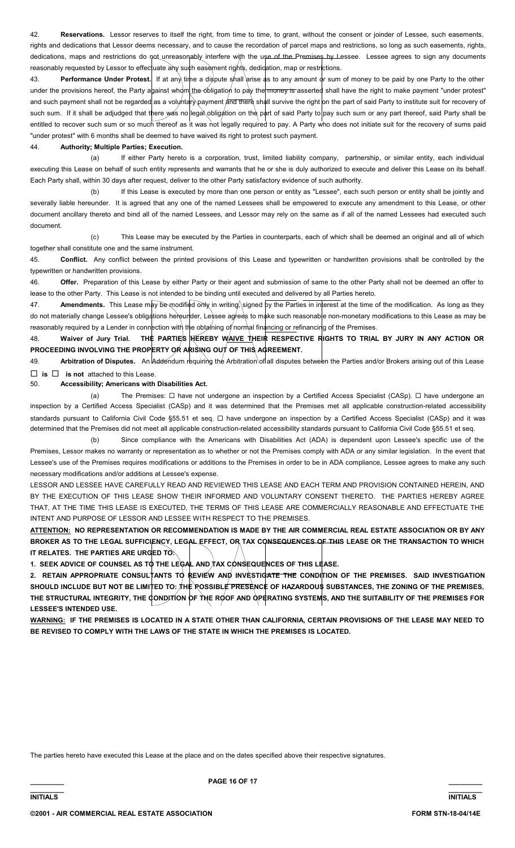42. **Reservations.** Lessor reserves to itself the right, from time to time, to grant, without the consent or joinder of Lessee, such easements, rights and dedications that Lessor deems necessary, and to cause the recordation of parcel maps and restrictions, so long as such easements, rights, dedications, maps and restrictions do not unreasonably interfere with the use of the Premises by Lessee. Lessee agrees to sign any documents reasonably requested by Lessor to effectuate any such easement rights, dedication, map or restrictions.

43. **Performance Under Protest.** If at any time a dispute shall arise as to any amount or sum of money to be paid by one Party to the other under the provisions hereof, the Party against whom the obligation to pay the money is asserted shall have the right to make payment "under protest" and such payment shall not be regarded as a voluntary payment and there shall survive the right on the part of said Party to institute suit for recovery of such sum. If it shall be adjudged that there was no legal obligation on the part of said Party to pay such sum or any part thereof, said Party shall be entitled to recover such sum or so much thereof as it was not legally required to pay. A Party who does not initiate suit for the recovery of sums paid "under protest" with 6 months shall be deemed to have waived its right to protest such payment.

# 44. **Authority; Multiple Parties; Execution.**

If either Party hereto is a corporation, trust, limited liability company, partnership, or similar entity, each individual executing this Lease on behalf of such entity represents and warrants that he or she is duly authorized to execute and deliver this Lease on its behalf. Each Party shall, within 30 days after request, deliver to the other Party satisfactory evidence of such authority.

 (b) If this Lease is executed by more than one person or entity as "Lessee", each such person or entity shall be jointly and severally liable hereunder. It is agreed that any one of the named Lessees shall be empowered to execute any amendment to this Lease, or other document ancillary thereto and bind all of the named Lessees, and Lessor may rely on the same as if all of the named Lessees had executed such document.

 (c) This Lease may be executed by the Parties in counterparts, each of which shall be deemed an original and all of which together shall constitute one and the same instrument.

45. **Conflict.** Any conflict between the printed provisions of this Lease and typewritten or handwritten provisions shall be controlled by the typewritten or handwritten provisions.

46. **Offer.** Preparation of this Lease by either Party or their agent and submission of same to the other Party shall not be deemed an offer to lease to the other Party. This Lease is not intended to be binding until executed and delivered by all Parties hereto.

47. **Amendments.** This Lease may be modified only in writing, signed by the Parties in interest at the time of the modification. As long as they do not materially change Lessee's obligations hereunder, Lessee agrees to make such reasonable non-monetary modifications to this Lease as may be reasonably required by a Lender in connection with the obtaining of normal financing or refinancing of the Premises.

48. Waiver of Jury Trial. THE PARTIES HEREBY WAIVE THEIR RESPECTIVE RIGHTS TO TRIAL BY JURY IN ANY ACTION OR PROCEEDING INVOLVING THE PROPERTY OR ARISING OUT OF THIS AGREEMENT.

49. **Arbitration of Disputes.** An Addendum requiring the Arbitration of all disputes between the Parties and/or Brokers arising out of this Lease **is is not** attached to this Lease.

# 50. **Accessibility; Americans with Disabilities Act.**

(a) The Premises: □ have not undergone an inspection by a Certified Access Specialist (CASp). □ have undergone an inspection by a Certified Access Specialist (CASp) and it was determined that the Premises met all applicable construction-related accessibility standards pursuant to California Civil Code §55.51 et seq. □ have undergone an inspection by a Certified Access Specialist (CASp) and it was determined that the Premises did not meet all applicable construction-related accessibility standards pursuant to California Civil Code §55.51 et seq.

 (b) Since compliance with the Americans with Disabilities Act (ADA) is dependent upon Lessee's specific use of the Premises, Lessor makes no warranty or representation as to whether or not the Premises comply with ADA or any similar legislation. In the event that Lessee's use of the Premises requires modifications or additions to the Premises in order to be in ADA compliance, Lessee agrees to make any such necessary modifications and/or additions at Lessee's expense.

LESSOR AND LESSEE HAVE CAREFULLY READ AND REVIEWED THIS LEASE AND EACH TERM AND PROVISION CONTAINED HEREIN, AND BY THE EXECUTION OF THIS LEASE SHOW THEIR INFORMED AND VOLUNTARY CONSENT THERETO. THE PARTIES HEREBY AGREE THAT, AT THE TIME THIS LEASE IS EXECUTED, THE TERMS OF THIS LEASE ARE COMMERCIALLY REASONABLE AND EFFECTUATE THE INTENT AND PURPOSE OF LESSOR AND LESSEE WITH RESPECT TO THE PREMISES.

**ATTENTION: NO REPRESENTATION OR RECOMMENDATION IS MADE BY THE AIR COMMERCIAL REAL ESTATE ASSOCIATION OR BY ANY BROKER AS TO THE LEGAL SUFFICIENCY, LEGAL EFFECT, OR TAX CONSEQUENCES OF THIS LEASE OR THE TRANSACTION TO WHICH IT RELATES. THE PARTIES ARE URGED TO:**

1. SEEK ADVICE OF COUNSEL AS TO THE LEGAL AND TAX CONSEQUENCES OF THIS LEASE.

2. RETAIN APPROPRIATE CONSULTANTS TO REVIEW AND INVESTIGATE THE CONDITION OF THE PREMISES. SAID INVESTIGATION SHOULD INCLUDE BUT NOT BE LIMITED TO: THE ROSSIBLE PRESENCE OF HAZARDOUS SUBSTANCES, THE ZONING OF THE PREMISES, THE STRUCTURAL INTEGRITY, THE CONDITION OF THE ROOF AND OPERATING SYSTEMS, AND THE SUITABILITY OF THE PREMISES FOR **LESSEE'S INTENDED USE.** 

**WARNING: IF THE PREMISES IS LOCATED IN A STATE OTHER THAN CALIFORNIA, CERTAIN PROVISIONS OF THE LEASE MAY NEED TO BE REVISED TO COMPLY WITH THE LAWS OF THE STATE IN WHICH THE PREMISES IS LOCATED.** 

The parties hereto have executed this Lease at the place and on the dates specified above their respective signatures.